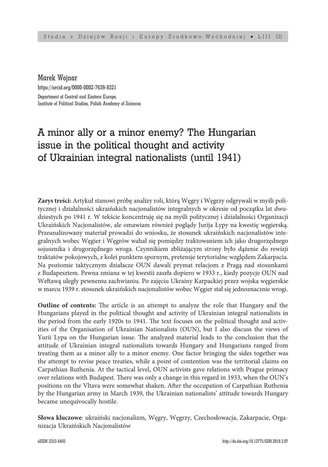Marek Wojnar https://orcid.org/0000-0002-7639-8321 Department of Central and Eastern Europe, Institute of Political Studies, Polish Academy of Sciences

## A minor ally or a minor enemy? The Hungarian issue in the political thought and activity of Ukrainian integral nationalists (until 1941)

**Zarys treści:** Artykuł stanowi próbę analizy roli, którą Węgry i Węgrzy odgrywali w myśli politycznej i działalności ukraińskich nacjonalistów integralnych w okresie od początku lat dwudziestych po 1941 r. W tekście koncentruję się na myśli politycznej i działalności Organizacji Ukraińskich Nacjonalistów, ale omawiam również poglądy Jurija Łypy na kwestię węgierską. Przeanalizowany materiał prowadzi do wniosku, że stosunek ukraińskich nacjonalistów integralnych wobec Węgier i Węgrów wahał się pomiędzy traktowaniem ich jako drugorzędnego sojusznika i drugorzędnego wroga. Czynnikiem zbliżającym strony było dążenie do rewizji traktatów pokojowych, z kolei punktem spornym, pretensje terytorialne względem Zakarpacia. Na poziomie taktycznym działacze OUN dawali prymat relacjom z Pragą nad stosunkami z Budapesztem. Pewna zmiana w tej kwestii zaszła dopiero w 1933 r., kiedy pozycje OUN nad Wełtawą uległy pewnemu zachwianiu. Po zajęciu Ukrainy Karpackiej przez wojska węgierskie w marcu 1939 r. stosunek ukraińskich nacjonalistów wobec Węgier stał się jednoznacznie wrogi.

**Outline of contents:** The article is an attempt to analyze the role that Hungary and the Hungarians played in the political thought and activity of Ukrainian integral nationalists in the period from the early 1920s to 1941. The text focuses on the political thought and activities of the Organisation of Ukrainian Nationalists (OUN), but I also discuss the views of Yurii Lypa on the Hungarian issue. The analyzed material leads to the conclusion that the attitude of Ukrainian integral nationalists towards Hungary and Hungarians ranged from treating them as a minor ally to a minor enemy. One factor bringing the sides together was the attempt to revise peace treaties, while a point of contention was the territorial claims on Carpathian Ruthenia. At the tactical level, OUN activists gave relations with Prague primacy over relations with Budapest. There was only a change in this regard in 1933, when the OUN's positions on the Vltava were somewhat shaken. After the occupation of Carpathian Ruthenia by the Hungarian army in March 1939, the Ukrainian nationalists' attitude towards Hungary became unequivocally hostile.

**Słowa kluczowe**: ukraiński nacjonalizm, Węgry, Węgrzy, Czechosłowacja, Zakarpacie, Organizacja Ukraińskich Nacjonalistów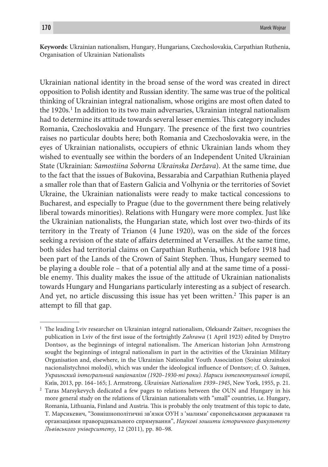**Keywords**: Ukrainian nationalism, Hungary, Hungarians, Czechoslovakia, Carpathian Ruthenia, Organisation of Ukrainian Nationalists

Ukrainian national identity in the broad sense of the word was created in direct opposition to Polish identity and Russian identity. The same was true of the political thinking of Ukrainian integral nationalism, whose origins are most often dated to the 1920s.<sup>1</sup> In addition to its two main adversaries, Ukrainian integral nationalism had to determine its attitude towards several lesser enemies. This category includes Romania, Czechoslovakia and Hungary. The presence of the first two countries raises no particular doubts here; both Romania and Czechoslovakia were, in the eyes of Ukrainian nationalists, occupiers of ethnic Ukrainian lands whom they wished to eventually see within the borders of an Independent United Ukrainian State (Ukrainian: *Samostiina Soborna Ukrainska Deržava*). At the same time, due to the fact that the issues of Bukovina, Bessarabia and Carpathian Ruthenia played a smaller role than that of Eastern Galicia and Volhynia or the territories of Soviet Ukraine, the Ukrainian nationalists were ready to make tactical concessions to Bucharest, and especially to Prague (due to the government there being relatively liberal towards minorities). Relations with Hungary were more complex. Just like the Ukrainian nationalists, the Hungarian state, which lost over two-thirds of its territory in the Treaty of Trianon (4 June 1920), was on the side of the forces seeking a revision of the state of affairs determined at Versailles. At the same time, both sides had territorial claims on Carpathian Ruthenia, which before 1918 had been part of the Lands of the Crown of Saint Stephen. Thus, Hungary seemed to be playing a double role – that of a potential ally and at the same time of a possible enemy. This duality makes the issue of the attitude of Ukrainian nationalists towards Hungary and Hungarians particularly interesting as a subject of research. And yet, no article discussing this issue has yet been written.<sup>2</sup> This paper is an attempt to fill that gap.

<sup>&</sup>lt;sup>1</sup> The leading Lviv researcher on Ukrainian integral nationalism, Oleksandr Zaitsev, recognises the publication in Lviv of the first issue of the fortnightly *Zahrawa* (1 April 1923) edited by Dmytro Dontsov, as the beginnings of integral nationalism. The American historian John Armstrong sought the beginnings of integral nationalism in part in the activities of the Ukrainian Military Organisation and, elsewhere, in the Ukrainian Nationalist Youth Association (Soiuz ukrainskoi nacionalistychnoi molodi), which was under the ideological influence of Dontsov; cf. О. Зайцев, *Украинский інтеґральний націоналізм (1920–1930-ті роки). Нариси інтелектуальної історії*, Київ, 2013, pp. 164–165; J. Armstrong, *Ukrainian Nationalism 1939–1945*, New York, 1955, p. 21.

<sup>2</sup> Taras Marsykevych dedicated a few pages to relations between the OUN and Hungary in his more general study on the relations of Ukrainian nationalists with "small" countries, i.e. Hungary, Romania, Lithuania, Finland and Austria. This is probably the only treatment of this topic to date, Т. Марсикевич, "Зовнішнополітичні зв'язки ОУН з 'малими' європейськими державами та органзаціями праворадикального спрямування", *Наукові зошити історичного факультету Львівського університету*, 12 (2011), pp. 80–98.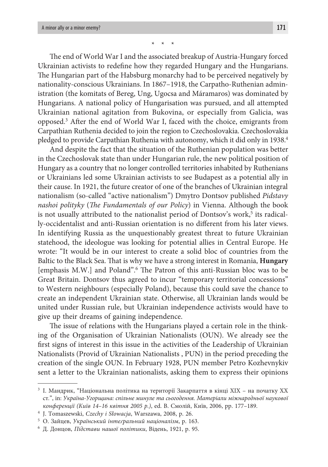\* \* \*

The end of World War I and the associated breakup of Austria-Hungary forced Ukrainian activists to redefine how they regarded Hungary and the Hungarians. The Hungarian part of the Habsburg monarchy had to be perceived negatively by nationality-conscious Ukrainians. In 1867–1918, the Carpatho-Ruthenian administration (the komitats of Bereg, Ung, Ugocsa and Máramaros) was dominated by Hungarians. A national policy of Hungarisation was pursued, and all attempted Ukrainian national agitation from Bukovina, or especially from Galicia, was opposed.3 After the end of World War I, faced with the choice, emigrants from Carpathian Ruthenia decided to join the region to Czechoslovakia. Czechoslovakia pledged to provide Carpathian Ruthenia with autonomy, which it did only in 1938.4

And despite the fact that the situation of the Ruthenian population was better in the Czechoslovak state than under Hungarian rule, the new political position of Hungary as a country that no longer controlled territories inhabited by Ruthenians or Ukrainians led some Ukrainian activists to see Budapest as a potential ally in their cause. In 1921, the future creator of one of the branches of Ukrainian integral nationalism (so-called "active nationalism") Dmytro Dontsov published *Pidstavy nashoi polityky* (*The Fundamentals of our Policy*) in Vienna. Although the book is not usually attributed to the nationalist period of Dontsov's work,<sup>5</sup> its radically-occidentalist and anti-Russian orientation is no different from his later views. In identifying Russia as the unquestionably greatest threat to future Ukrainian statehood, the ideologue was looking for potential allies in Central Europe. He wrote: "It would be in our interest to create a solid bloc of countries from the Baltic to the Black Sea. That is why we have a strong interest in Romania, **Hungary** [emphasis M.W.] and Poland".6 The Patron of this anti-Russian bloc was to be Great Britain. Dontsov thus agreed to incur "temporary territorial concessions" to Western neighbours (especially Poland), because this could save the chance to create an independent Ukrainian state. Otherwise, all Ukrainian lands would be united under Russian rule, but Ukrainian independence activists would have to give up their dreams of gaining independence.

The issue of relations with the Hungarians played a certain role in the thinking of the Organisation of Ukrainian Nationalists (OUN). We already see the first signs of interest in this issue in the activities of the Leadership of Ukrainian Nationalists (Provid of Ukrainian Nationalists , PUN) in the period preceding the creation of the single OUN. In February 1928, PUN member Petro Kozhevnykiv sent a letter to the Ukrainian nationalists, asking them to express their opinions

 $^3$  I. Мандрик, "Національна політика на території Закарпаття в кінці XIX – на початку XX ст*.*", in: *Україна-Угорщина: спільне минуле та сьогодення. Матеріали міжнародньої наукової конференції (Київ 14–16 квітня 2005 р.)*, ed. В. Смолій, Київ, 2006, pp. 177–189. 4

<sup>&</sup>lt;sup>4</sup> J. Tomaszewski, Czechy i Słowacja, Warszawa, 2008, p. 26.

О. Зайцев, *Український інтеґральний націоналізм*, p. 163. 6

Д. Донцов, *Підстави нашої політики*, Відень, 1921, p. 95.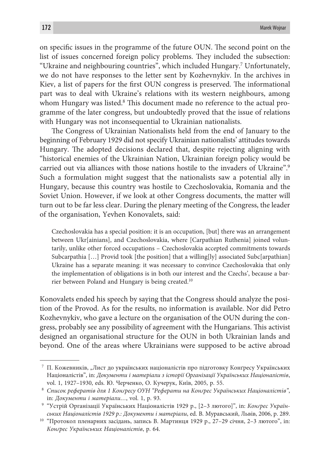on specific issues in the programme of the future OUN. The second point on the list of issues concerned foreign policy problems. They included the subsection: "Ukraine and neighbouring countries", which included Hungary.7 Unfortunately, we do not have responses to the letter sent by Kozhevnykiv. In the archives in Kiev, a list of papers for the first OUN congress is preserved. The informational part was to deal with Ukraine's relations with its western neighbours, among whom Hungary was listed.<sup>8</sup> This document made no reference to the actual programme of the later congress, but undoubtedly proved that the issue of relations with Hungary was not inconsequential to Ukrainian nationalists.

The Congress of Ukrainian Nationalists held from the end of January to the beginning of February 1929 did not specify Ukrainian nationalists' attitudes towards Hungary. The adopted decisions declared that, despite rejecting aligning with "historical enemies of the Ukrainian Nation, Ukrainian foreign policy would be carried out via alliances with those nations hostile to the invaders of Ukraine".9 Such a formulation might suggest that the nationalists saw a potential ally in Hungary, because this country was hostile to Czechoslovakia, Romania and the Soviet Union. However, if we look at other Congress documents, the matter will turn out to be far less clear. During the plenary meeting of the Congress, the leader of the organisation, Yevhen Konovalets, said:

Czechoslovakia has a special position: it is an occupation, [but] there was an arrangement between Ukr[ainians], and Czechoslovakia, where [Carpathian Ruthenia] joined voluntarily, unlike other forced occupations – Czechoslovakia accepted commitments towards Subcarpathia […] Provid took [the position] that a willing[ly] associated Subc[arpathian] Ukraine has a separate meaning: it was necessary to convince Czechoslovakia that only the implementation of obligations is in both our interest and the Czechs', because a barrier between Poland and Hungary is being created.10

Konovalets ended his speech by saying that the Congress should analyze the position of the Provod. As for the results, no information is available. Nor did Petro Kozhevnykiv, who gave a lecture on the organisation of the OUN during the congress, probably see any possibility of agreement with the Hungarians. This activist designed an organisational structure for the OUN in both Ukrainian lands and beyond. One of the areas where Ukrainians were supposed to be active abroad

<sup>&</sup>lt;sup>7</sup> П. Кожевників, "Лист до українських націоналістів про підготовку Конґресу Українських Націоналістів", in: *Документи і матеріали з історії Організації Українських Націоналістів*, vol. 1, 1927-1930, eds. Ю. Черченко, О. Кучерук, Київ, 2005, р. 55.

*Cписок рефератів для 1 Конґресу ОУН "Реферати на Конґрес Українських Націоналістів"*, in: *Документи і матеріали...*, vol. 1, p. 93.

 <sup>&</sup>quot;Устрій Організації Українських Націоналістів 1929 р., [2–3 лютого]", in: *Конґрес Українських Націоналістів 1929 р.: Документи і матеріали*, ed. В. Муравський, Львів, 2006, p. 289.

<sup>&</sup>lt;sup>10</sup> "Протокол пленарних засідань, запись В. Мартинця 1929 р., 27-29 січня, 2-3 лютого", in: *Конґрес Українських Націоналістів*, p. 64.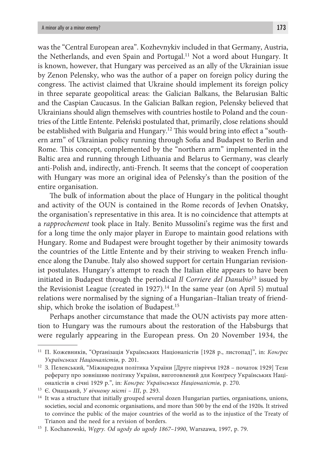was the "Central European area". Kozhevnykiv included in that Germany, Austria, the Netherlands, and even Spain and Portugal.<sup>11</sup> Not a word about Hungary. It is known, however, that Hungary was perceived as an ally of the Ukrainian issue by Zenon Pelensky, who was the author of a paper on foreign policy during the congress. The activist claimed that Ukraine should implement its foreign policy in three separate geopolitical areas: the Galician Balkans, the Belarusian Baltic and the Caspian Caucasus. In the Galician Balkan region, Pelensky believed that Ukrainians should align themselves with countries hostile to Poland and the countries of the Little Entente. Pełeński postulated that, primarily, close relations should be established with Bulgaria and Hungary.<sup>12</sup> This would bring into effect a "southern arm" of Ukrainian policy running through Sofia and Budapest to Berlin and Rome. This concept, complemented by the "northern arm" implemented in the Baltic area and running through Lithuania and Belarus to Germany, was clearly anti-Polish and, indirectly, anti-French. It seems that the concept of cooperation with Hungary was more an original idea of Pelensky's than the position of the entire organisation.

The bulk of information about the place of Hungary in the political thought and activity of the OUN is contained in the Rome records of Jevhen Onatsky, the organisation's representative in this area. It is no coincidence that attempts at a *rapprochement* took place in Italy. Benito Mussolini's regime was the first and for a long time the only major player in Europe to maintain good relations with Hungary. Rome and Budapest were brought together by their animosity towards the countries of the Little Entente and by their striving to weaken French influence along the Danube. Italy also showed support for certain Hungarian revisionist postulates. Hungary's attempt to reach the Italian elite appears to have been initiated in Budapest through the periodical *Il Corriere del Danubio*13 issued by the Revisionist League (created in 1927).<sup>14</sup> In the same year (on April 5) mutual relations were normalised by the signing of a Hungarian–Italian treaty of friendship, which broke the isolation of Budapest.15

Perhaps another circumstance that made the OUN activists pay more attention to Hungary was the rumours about the restoration of the Habsburgs that were regularly appearing in the European press. On 20 November 1934, the

<sup>11</sup> П. Кожевників, "Орґанізація Українських Націоналістів [1928 р., листопад]", in: *Конґрес Українських Націоналістів*, p. 201. 12 З. Пеленський*,* "Міжнародня політика України [Друге півріччя 1928 – початок 1929] Тези

реферату про зовнішню політику України, виготовлений для Конґресу Українських Націоналістів в січні 1929 р.", in: *Конґрес Українських Націоналістів*, p. 270.

<sup>&</sup>lt;sup>14</sup> It was a structure that initially grouped several dozen Hungarian parties, organisations, unions, societies, social and economic organisations, and more than 500 by the end of the 1920s. It strived to convince the public of the major countries of the world as to the injustice of the Treaty of

Trianon and the need for a revision of borders. 15 J. Kochanowski, *Węgry. Od ugody do ugody 1867–1990*, Warszawa, 1997, p. 79.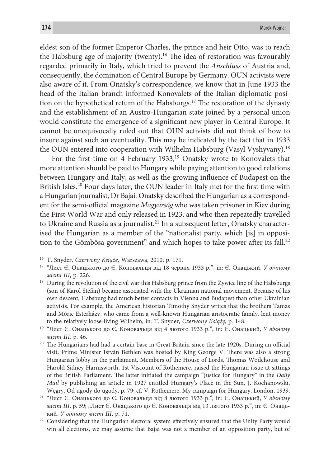eldest son of the former Emperor Charles, the prince and heir Otto, was to reach the Habsburg age of majority (twenty).16 The idea of restoration was favourably regarded primarily in Italy, which tried to prevent the *Anschluss* of Austria and, consequently, the domination of Central Europe by Germany. OUN activists were also aware of it. From Onatsky's correspondence, we know that in June 1933 the head of the Italian branch informed Konovalets of the Italian diplomatic position on the hypothetical return of the Habsburgs.<sup>17</sup> The restoration of the dynasty and the establishment of an Austro-Hungarian state joined by a personal union would constitute the emergence of a significant new player in Central Europe. It cannot be unequivocally ruled out that OUN activists did not think of how to insure against such an eventuality. This may be indicated by the fact that in 1933 the OUN entered into cooperation with Wilhelm Habsburg (Vasyl Vyshyvany).18

For the first time on 4 February 1933,<sup>19</sup> Onatsky wrote to Konovalets that more attention should be paid to Hungary while paying attention to good relations between Hungary and Italy, as well as the growing influence of Budapest on the British Isles.20 Four days later, the OUN leader in Italy met for the first time with a Hungarian journalist, Dr Bajai. Onatsky described the Hungarian as a correspondent for the semi-official magazine *Magyarság* who was taken prisoner in Kiev during the First World War and only released in 1923, and who then repeatedly travelled to Ukraine and Russia as a journalist.<sup>21</sup> In a subsequent letter, Onatsky characterised the Hungarian as a member of the "nationalist party, which [is] in opposition to the Gömbösa government" and which hopes to take power after its fall.<sup>22</sup>

<sup>16</sup> T. Snyder, *Czerwony Książę*, Warszawa, 2010, p. 171.

<sup>17 &</sup>quot;Лист Є. Онацького до Є. Коновальця від 18 червня 1933 р.", in: Є. Онацький, *У вічному місті III*, p. 226.<br><sup>18</sup> During the revolution of the civil war this Habsburg prince from the Żywiec line of the Habsburgs

<sup>(</sup>son of Karol Stefan) became associated with the Ukrainian national movement. Because of his own descent, Habsburg had much better contacts in Vienna and Budapest than other Ukrainian activists. For example, the American historian Timothy Snyder writes that the brothers Tamas and Móric Esterházy, who came from a well-known Hungarian aristocratic family, lent money

to the relatively loose-living Wilhelm, in: T. Snyder, *Czerwony Książę*, p. 148. 19 "Лист Є. Онацького до Є. Коновальця від 4 лютого 1933 р.", in: Є. Онацький, *У вічному місті III*, p. 46.

<sup>&</sup>lt;sup>20</sup> The Hungarians had had a certain base in Great Britain since the late 1920s. During an official visit, Prime Minister István Bethlen was hosted by King George V. There was also a strong Hungarian lobby in the parliament. Members of the House of Lords, Thomas Wodehouse and Harold Sidney Harmsworth, 1st Viscount of Rothemere, raised the Hungarian issue at sittings of the British Parliament. The latter initiated the campaign "Justice for Hungary" in the *Daily Mail* by publishing an article in 1927 entitled Hungary's Place in the Sun, J. Kochanowski,

Węgry. Od ugody do ugody, p. 79; cf. V. Rothemere, My campaign for Hungary, London, 1939. 21 "Лист Є. Онацького до Є. Коновальця від 8 лютого 1933 р.", in: Є. Онацький, *У вічному місті III*, p. 59; "Лист Є. Онацького до Є. Коновальця від 13 лютого 1933 р.", in: Є. Онацький, *У вічному місті III*, p. 71.

<sup>&</sup>lt;sup>22</sup> Considering that the Hungarian electoral system effectively ensured that the Unity Party would win all elections, we may assume that Bajai was not a member of an opposition party, but of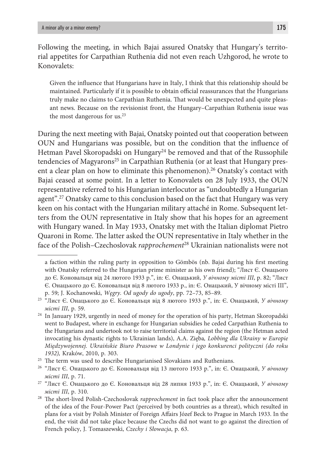Following the meeting, in which Bajai assured Onatsky that Hungary's territorial appetites for Carpathian Ruthenia did not even reach Uzhgorod, he wrote to Konovalets:

Given the influence that Hungarians have in Italy, I think that this relationship should be maintained. Particularly if it is possible to obtain official reassurances that the Hungarians truly make no claims to Carpathian Ruthenia. That would be unexpected and quite pleasant news. Because on the revisionist front, the Hungary–Carpathian Ruthenia issue was the most dangerous for us.<sup>23</sup>

During the next meeting with Bajai, Onatsky pointed out that cooperation between OUN and Hungarians was possible, but on the condition that the influence of Hetman Pavel Skoropadski on Hungary<sup>24</sup> be removed and that of the Russophile tendencies of Magyarons<sup>25</sup> in Carpathian Ruthenia (or at least that Hungary present a clear plan on how to eliminate this phenomenon).26 Onatsky's contact with Bajai ceased at some point. In a letter to Konovalets on 28 July 1933, the OUN representative referred to his Hungarian interlocutor as "undoubtedly a Hungarian agent".<sup>27</sup> Onatsky came to this conclusion based on the fact that Hungary was very keen on his contact with the Hungarian military attaché in Rome. Subsequent letters from the OUN representative in Italy show that his hopes for an agreement with Hungary waned. In May 1933, Onatsky met with the Italian diplomat Pietro Quaroni in Rome. The latter asked the OUN representative in Italy whether in the face of the Polish–Czechoslovak *rapprochement*<sup>28</sup> Ukrainian nationalists were not

a faction within the ruling party in opposition to Gömbös (nb. Bajai during his first meeting with Onatsky referred to the Hungarian prime minister as his own friend); "Лист Є. Онацього до Є. Коновальця від 24 лютого 1933 р.", in: Є. Онацький, *У вічному місті III*, p. 82; "Лист Є. Онацького до Є. Коновальця від 8 лютого 1933 р., in: Є. Онацький, У вічному місті III", p. 59; J. Kochanowski, *Węgry. Od ugody do ugody*, pp. 72–73, 85–89.

<sup>23 &</sup>quot;Лист Є. Онацького до Є. Коновальця від 8 лютого 1933 р.", in: Є. Онацький, *У вічному* 

*місті III*, p. 59.<br><sup>24</sup> In January 1929, urgently in need of money for the operation of his party, Hetman Skoropadski went to Budapest, where in exchange for Hungarian subsidies he ceded Carpathian Ruthenia to the Hungarians and undertook not to raise territorial claims against the region (the Hetman acted invocating his dynastic rights to Ukrainian lands), A.A. Zięba*, Lobbing dla Ukrainy w Europie Międzywojennej. Ukraińskie Biuro Prasowe w Londynie i jego konkurenci polityczni (do roku 1932),* Kraków, 2010, p. 303. 25 The term was used to describe Hungarianised Slovakians and Ruthenians. 26 "Лист Є. Онацького до Є. Коновальця від 13 лютого 1933 р.", in: Є. Онацький, *У вічному* 

*місті III*, p. 71.

<sup>27 &</sup>quot;Лист Є. Онацького до Є. Коновальця від 28 липня 1933 р.", in: Є. Онацький, *У вічному місті III*, p. 310.

<sup>28</sup> The short-lived Polish-Czechoslovak *rapprochement* in fact took place after the announcement of the idea of the Four-Power Pact (perceived by both countries as a threat), which resulted in plans for a visit by Polish Minister of Foreign Affairs Józef Beck to Prague in March 1933. In the end, the visit did not take place because the Czechs did not want to go against the direction of French policy, J. Tomaszewski, *Czechy i Słowacja*, p. 63.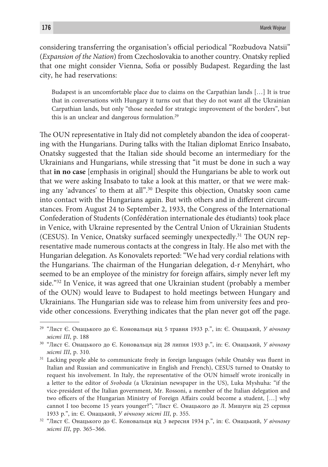considering transferring the organisation's official periodical "Rozbudova Natsii" (*Expansion of the Nation*) from Czechoslovakia to another country. Onatsky replied that one might consider Vienna, Sofia or possibly Budapest. Regarding the last city, he had reservations:

Budapest is an uncomfortable place due to claims on the Carpathian lands […] It is true that in conversations with Hungary it turns out that they do not want all the Ukrainian Carpathian lands, but only "those needed for strategic improvement of the borders", but this is an unclear and dangerous formulation.29

The OUN representative in Italy did not completely abandon the idea of cooperating with the Hungarians. During talks with the Italian diplomat Enrico Insabato, Onatsky suggested that the Italian side should become an intermediary for the Ukrainians and Hungarians, while stressing that "it must be done in such a way that **in no case** [emphasis in original] should the Hungarians be able to work out that we were asking Insabato to take a look at this matter, or that we were making any 'advances' to them at all".30 Despite this objection, Onatsky soon came into contact with the Hungarians again. But with others and in different circumstances. From August 24 to September 2, 1933, the Congress of the International Confederation of Students (Confédération internationale des étudiants) took place in Venice, with Ukraine represented by the Central Union of Ukrainian Students (CESUS). In Venice, Onatsky surfaced seemingly unexpectedly.31 The OUN representative made numerous contacts at the congress in Italy. He also met with the Hungarian delegation. As Konovalets reported: "We had very cordial relations with the Hungarians. The chairman of the Hungarian delegation, d-r Menyhárt, who seemed to be an employee of the ministry for foreign affairs, simply never left my side."32 In Venice, it was agreed that one Ukrainian student (probably a member of the OUN) would leave to Budapest to hold meetings between Hungary and Ukrainians. The Hungarian side was to release him from university fees and provide other concessions. Everything indicates that the plan never got off the page.

<sup>29 &</sup>quot;Лист Є. Онацького до Є. Коновальця від 5 травня 1933 р.", in: Є. Онацький, *У вічному місті III*, p. 188

<sup>30 &</sup>quot;Лист Є. Онацького до Є. Коновальця від 28 липня 1933 р.", in: Є. Онацький, *У вічному місті III*, p. 310.<br><sup>31</sup> Lacking people able to communicate freely in foreign languages (while Onatsky was fluent in

Italian and Russian and communicative in English and French), CESUS turned to Onatsky to request his involvement. In Italy, the representative of the OUN himself wrote ironically in a letter to the editor of *Svoboda* (a Ukrainian newspaper in the US), Luka Myshuha: "if the vice-president of the Italian government, Mr. Rossoni, a member of the Italian delegation and two officers of the Hungarian Ministry of Foreign Affairs could become a student, […] why cannot I too become 15 years younger?"; "Лист Є. Онацького до Л. Мишуги від 25 серпня

<sup>1933</sup> р*.*", in: Є. Онацький, *<sup>У</sup> вічному місті III*, p. 355. 32 "Лист Є. Онацького до Є. Коновальця від 3 вересня 1934 р.", in: Є. Онацький, *У вічному місті III*, pp. 365–366.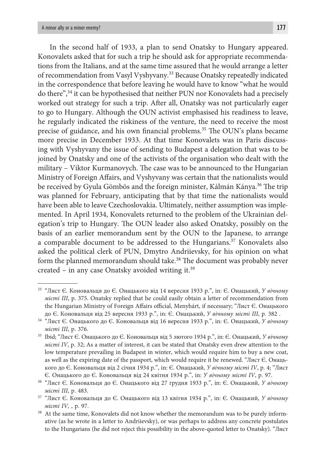In the second half of 1933, a plan to send Onatsky to Hungary appeared. Konovalets asked that for such a trip he should ask for appropriate recommendations from the Italians, and at the same time assured that he would arrange a letter of recommendation from Vasyl Vyshyvany.33 Because Onatsky repeatedly indicated in the correspondence that before leaving he would have to know "what he would do there",34 it can be hypothesised that neither PUN nor Konovalets had a precisely worked out strategy for such a trip. After all, Onatsky was not particularly eager to go to Hungary. Although the OUN activist emphasised his readiness to leave, he regularly indicated the riskiness of the venture, the need to receive the most precise of guidance, and his own financial problems.<sup>35</sup> The OUN's plans became more precise in December 1933. At that time Konovalets was in Paris discussing with Vyshyvany the issue of sending to Budapest a delegation that was to be joined by Onatsky and one of the activists of the organisation who dealt with the military – Viktor Kurmanovych. The case was to be announced to the Hungarian Ministry of Foreign Affairs, and Vyshyvany was certain that the nationalists would be received by Gyula Gömbös and the foreign minister, Kálmán Kánya.<sup>36</sup> The trip was planned for February, anticipating that by that time the nationalists would have been able to leave Czechoslovakia. Ultimately, neither assumption was implemented. In April 1934, Konovalets returned to the problem of the Ukrainian delegation's trip to Hungary. The OUN leader also asked Onatsky, possibly on the basis of an earlier memorandum sent by the OUN to the Japanese, to arrange a comparable document to be addressed to the Hungarians.37 Konovalets also asked the political clerk of PUN, Dmytro Andriievsky, for his opinion on what form the planned memorandum should take.<sup>38</sup> The document was probably never created – in any case Onatsky avoided writing it.39

<sup>33</sup> "Лист Є. Коновальця до Є. Онацького від 14 вересня 1933 р.", in: Є. Онацький, *У вічному місті III*, p. 375. Onatsky replied that he could easily obtain a letter of recommendation from the Hungarian Ministry of Foreign Affairs official, Menyhárt, if necessary; "Лист Є. Онацького до Є. Коновальця від 25 вересня 1933 р.", in: Є. Онацький, *У вічному місті III*, p. 382 .

<sup>34 &</sup>quot;Лист Є. Онацького до Є. Коновальця від 16 вересня 1933 р.", in: Є. Онацький, *У вічному місті III*, p. 376.

<sup>35</sup> Ibid; "Лист Є. Онацького до Є. Коновальця від 5 лютого 1934 р.", in: Є. Онацький, *У вічному місті IV*, p. 32; As a matter of interest, it can be stated that Onatsky even drew attention to the low temperature prevailing in Budapest in winter, which would require him to buy a new coat, as well as the expiring date of the passport, which would require it be renewed. "Лист Є. Онацького до Є. Коновальця від 2 січня 1934 р.", in: Є. Онацький, *У вічному місті IV*, p. 4; "Лист Є. Онацького до Є. Коновальця від 24 квітня 1934 р.", in: *У вічному місті IV*, p. 97. 36 "Лист Є. Коновальця до Є. Онацького від 27 грудня 1933 р.", in: Є. Онацький, *У вічному* 

*місті III*, p. 483. 37 "Лист Є. Коновальця до Є. Онацького від 13 квітня 1934 р.", in: Є. Онацький, *У вічному* 

*місті IV*, , р. 97.<br><sup>38</sup> At the same time, Konovalets did not know whether the memorandum was to be purely informative (as he wrote in a letter to Andriievsky), or was perhaps to address any concrete postulates to the Hungarians (he did not reject this possibility in the above-quoted letter to Onatsky). "Лист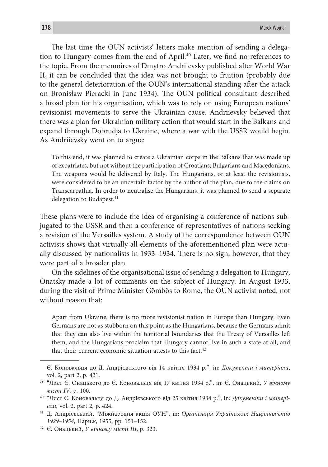The last time the OUN activists' letters make mention of sending a delegation to Hungary comes from the end of April.40 Later, we find no references to the topic. From the memoires of Dmytro Andriievsky published after World War II, it can be concluded that the idea was not brought to fruition (probably due to the general deterioration of the OUN's international standing after the attack on Bronisław Pieracki in June 1934). The OUN political consultant described a broad plan for his organisation, which was to rely on using European nations' revisionist movements to serve the Ukrainian cause. Andriievsky believed that there was a plan for Ukrainian military action that would start in the Balkans and expand through Dobrudja to Ukraine, where a war with the USSR would begin. As Andriievsky went on to argue:

To this end, it was planned to create a Ukrainian corps in the Balkans that was made up of expatriates, but not without the participation of Croatians, Bulgarians and Macedonians. The weapons would be delivered by Italy. The Hungarians, or at least the revisionists, were considered to be an uncertain factor by the author of the plan, due to the claims on Transcarpathia. In order to neutralise the Hungarians, it was planned to send a separate delegation to Budapest.<sup>41</sup>

These plans were to include the idea of organising a conference of nations subjugated to the USSR and then a conference of representatives of nations seeking a revision of the Versailles system. A study of the correspondence between OUN activists shows that virtually all elements of the aforementioned plan were actually discussed by nationalists in 1933–1934. There is no sign, however, that they were part of a broader plan.

On the sidelines of the organisational issue of sending a delegation to Hungary, Onatsky made a lot of comments on the subject of Hungary. In August 1933, during the visit of Prime Minister Gömbös to Rome, the OUN activist noted, not without reason that:

Apart from Ukraine, there is no more revisionist nation in Europe than Hungary. Even Germans are not as stubborn on this point as the Hungarians, because the Germans admit that they can also live within the territorial boundaries that the Treaty of Versailles left them, and the Hungarians proclaim that Hungary cannot live in such a state at all, and that their current economic situation attests to this fact. $42$ 

Є. Коновальця до Д. Андрієвського від 14 квітня 1934 р.", in: *Документи і матеріали*, vol. 2, part 2, p. 421.

<sup>39</sup> "Лист Є. Онацького до Є. Коновальця від 17 квітня 1934 р.", in: Є. Онацький, *У вічному місті IV*, p. 100.

<sup>40</sup> "Лист Є. Коновальця до Д. Андрієвського від 25 квітня 1934 р.", in: *Документи і матеріали*, vol. 2, part 2, p. 424. 41 Д. Андрієвський, "Міжнародня акція ОУН", in: *Організація Українських Націоналістів* 

*<sup>1929–1954</sup>*, Париж, 1955, pp. 151–152.

<sup>42</sup> Є. Онацький, *У вічному місті III*, p. 323.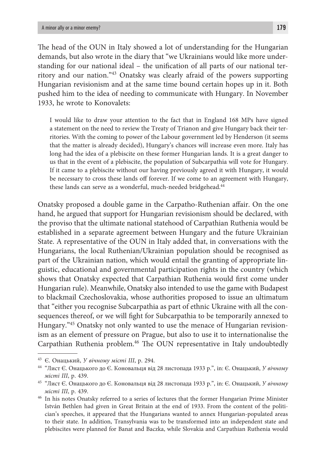The head of the OUN in Italy showed a lot of understanding for the Hungarian demands, but also wrote in the diary that "we Ukrainians would like more understanding for our national ideal – the unification of all parts of our national territory and our nation."43 Onatsky was clearly afraid of the powers supporting Hungarian revisionism and at the same time bound certain hopes up in it. Both pushed him to the idea of needing to communicate with Hungary. In November 1933, he wrote to Konovalets:

I would like to draw your attention to the fact that in England 168 MPs have signed a statement on the need to review the Treaty of Trianon and give Hungary back their territories. With the coming to power of the Labour government led by Henderson (it seems that the matter is already decided), Hungary's chances will increase even more. Italy has long had the idea of a plebiscite on these former Hungarian lands. It is a great danger to us that in the event of a plebiscite, the population of Subcarpathia will vote for Hungary. If it came to a plebiscite without our having previously agreed it with Hungary, it would be necessary to cross these lands off forever. If we come to an agreement with Hungary, these lands can serve as a wonderful, much-needed bridgehead.<sup>44</sup>

Onatsky proposed a double game in the Carpatho-Ruthenian affair. On the one hand, he argued that support for Hungarian revisionism should be declared, with the proviso that the ultimate national statehood of Carpathian Ruthenia would be established in a separate agreement between Hungary and the future Ukrainian State. A representative of the OUN in Italy added that, in conversations with the Hungarians, the local Ruthenian/Ukrainian population should be recognised as part of the Ukrainian nation, which would entail the granting of appropriate linguistic, educational and governmental participation rights in the country (which shows that Onatsky expected that Carpathian Ruthenia would first come under Hungarian rule). Meanwhile, Onatsky also intended to use the game with Budapest to blackmail Czechoslovakia, whose authorities proposed to issue an ultimatum that "either you recognise Subcarpathia as part of ethnic Ukraine with all the consequences thereof, or we will fight for Subcarpathia to be temporarily annexed to Hungary."45 Onatsky not only wanted to use the menace of Hungarian revisionism as an element of pressure on Prague, but also to use it to internationalise the Carpathian Ruthenia problem.46 The OUN representative in Italy undoubtedly

<sup>43</sup> Є. Онацький, *У вічному місті III*, p. 294.

<sup>44</sup> "Лист Є. Онацького до Є. Коновальця від 28 листопада 1933 р.", in: Є. Онацький, *У вічному місті III*, p. 439.

<sup>45</sup> "Лист Є. Онацького до Є. Коновальця від 28 листопада 1933 р.", in: Є. Онацький, *У вічному місті III*, p. 439.

<sup>&</sup>lt;sup>46</sup> In his notes Onatsky referred to a series of lectures that the former Hungarian Prime Minister István Bethlen had given in Great Britain at the end of 1933. From the content of the politician's speeches, it appeared that the Hungarians wanted to annex Hungarian-populated areas to their state. In addition, Transylvania was to be transformed into an independent state and plebiscites were planned for Banat and Baczka, while Slovakia and Carpathian Ruthenia would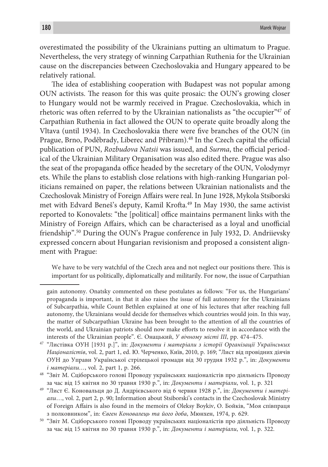overestimated the possibility of the Ukrainians putting an ultimatum to Prague. Nevertheless, the very strategy of winning Carpathian Ruthenia for the Ukrainian cause on the discrepancies between Czechoslovakia and Hungary appeared to be relatively rational.

The idea of establishing cooperation with Budapest was not popular among OUN activists. The reason for this was quite prosaic: the OUN's growing closer to Hungary would not be warmly received in Prague. Czechoslovakia, which in rhetoric was often referred to by the Ukrainian nationalists as "the occupier"47 of Carpathian Ruthenia in fact allowed the OUN to operate quite broadly along the Vltava (until 1934). In Czechoslovakia there were five branches of the OUN (in Prague, Brno, Poděbrady, Liberec and Příbram).48 In the Czech capital the official publication of PUN, *Rozbudova Natsii* was issued, and *Surma*, the official periodical of the Ukrainian Military Organisation was also edited there. Prague was also the seat of the propaganda office headed by the secretary of the OUN, Volodymyr ets. While the plans to establish close relations with high-ranking Hungarian politicians remained on paper, the relations between Ukrainian nationalists and the Czechoslovak Ministry of Foreign Affairs were real. In June 1928, Mykola Stsiborski met with Edvard Beneš's deputy, Kamil Krofta.49 In May 1930, the same activist reported to Konovalets: "the [political] office maintains permanent links with the Ministry of Foreign Affairs, which can be characterised as a loyal and unofficial friendship".50 During the OUN's Prague conference in July 1932, D. Andriievsky expressed concern about Hungarian revisionism and proposed a consistent alignment with Prague:

We have to be very watchful of the Czech area and not neglect our positions there. This is important for us politically, diplomatically and militarily. For now, the issue of Carpathian

48 "Звіт М. Сціборського голові Проводу українських націоналістів про діяльність Проводу за час від 15 квітня по 30 травня 1930 р*.*", in: *Документи і матеріали*, vol. 1, p. 321

gain autonomy. Onatsky commented on these postulates as follows: "For us, the Hungarians' propaganda is important, in that it also raises the issue of full autonomy for the Ukrainians of Subcarpathia, while Count Bethlen explained at one of his lectures that after reaching full autonomy, the Ukrainians would decide for themselves which countries would join. In this way, the matter of Subcarpathian Ukraine has been brought to the attention of all the countries of the world, and Ukrainian patriots should now make efforts to resolve it in accordance with the

interests of the Ukrainian people". Є. Онацький, *У вічному місті III*, pp. 474–475. 47 "Листівка ОУН [1931 р.]", in: *Документи і матеріали з історії Організації Українських Націоналістів*, vol. 2, part 1, ed. Ю. Черченко, Київ, 2010, p. 169; "Лист від провідних діячів ОУН до Управи Української стрілецької громади від 30 грудня 1932 р.", in: *Документи і матеріали…*, vol. 2, part 1, p. 266.

<sup>49 &</sup>quot;Лист Є. Коновальця до Д. Андрієвського від 6 червня 1928 р.", in: *Документи і матеріали*…, vol. 2, part 2, p. 90; Information about Stsiborski's contacts in the Czechoslovak Ministry of Foreign Affairs is also found in the memoirs of Oleksy Boykiv, О. Бойків, "Моя співпраця

з полковником", in: *Євген Коновалець та його доба*, Мюнхен, 1974, p. 629. 50 "Звіт М. Сціборського голові Проводу українських націоналістів про діяльність Проводу за час від 15 квітня по 30 травня 1930 р.", in: *Документи і матеріали*, vol. 1, p. 322.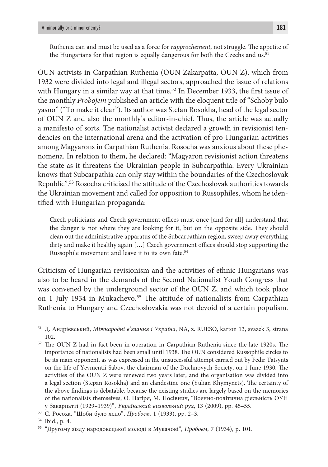Ruthenia can and must be used as a force for *rapprochement*, not struggle. The appetite of the Hungarians for that region is equally dangerous for both the Czechs and us.<sup>51</sup>

OUN activists in Carpathian Ruthenia (OUN Zakarpatta, OUN Z), which from 1932 were divided into legal and illegal sectors, approached the issue of relations with Hungary in a similar way at that time.<sup>52</sup> In December 1933, the first issue of the monthly *Probojem* published an article with the eloquent title of "Schoby bulo yasno" ("To make it clear"). Its author was Stefan Rosokha, head of the legal sector of OUN Z and also the monthly's editor-in-chief. Thus, the article was actually a manifesto of sorts. The nationalist activist declared a growth in revisionist tendencies on the international arena and the activation of pro-Hungarian activities among Magyarons in Carpathian Ruthenia. Rosocha was anxious about these phenomena. In relation to them, he declared: "Magyaron revisionist action threatens the state as it threatens the Ukrainian people in Subcarpathia. Every Ukrainian knows that Subcarpathia can only stay within the boundaries of the Czechoslovak Republic".53 Rosocha criticised the attitude of the Czechoslovak authorities towards the Ukrainian movement and called for opposition to Russophiles, whom he identified with Hungarian propaganda:

Czech politicians and Czech government offices must once [and for all] understand that the danger is not where they are looking for it, but on the opposite side. They should clean out the administrative apparatus of the Subcarpathian region, sweep away everything dirty and make it healthy again […] Czech government offices should stop supporting the Russophile movement and leave it to its own fate.54

Criticism of Hungarian revisionism and the activities of ethnic Hungarians was also to be heard in the demands of the Second Nationalist Youth Congress that was convened by the underground sector of the OUN Z, and which took place on 1 July 1934 in Mukachevo.<sup>55</sup> The attitude of nationalists from Carpathian Ruthenia to Hungary and Czechoslovakia was not devoid of a certain populism.

<sup>51</sup> Д. Андрієвський, *Міжнародні в'язання і Україна*, NA, z. RUESO, karton 13, svazek 3, strana 102.

<sup>52</sup> The OUN Z had in fact been in operation in Carpathian Ruthenia since the late 1920s. The importance of nationalists had been small until 1938. The OUN considered Russophile circles to be its main opponent, as was expressed in the unsuccessful attempt carried out by Fedir Tatsynts on the life of Yevmentii Sabov, the chairman of the Duchnovych Society, on 1 June 1930. The activities of the OUN Z were renewed two years later, and the organisation was divided into a legal section (Stepan Rosokha) and an clandestine one (Yulian Khymynets). The certainty of the above findings is debatable, because the existing studies are largely based on the memories of the nationalists themselves, О. Пагіря, М. Посівнич, "Воєнно-політична діяльність ОУН у Закарпатті (1929–1939)", *Український визвольний рух*, 13 (2009), pp. 45–55.

<sup>53</sup> С. Росоха, "Щоби було ясно", *Пробоєм*, 1 (1933), pp. 2–3.

<sup>54</sup> Ibid., p. 4.

<sup>55 &</sup>quot;Другому зїзду народовецької молоді в Мукачові", *Пробоєм*, 7 (1934), p. 101.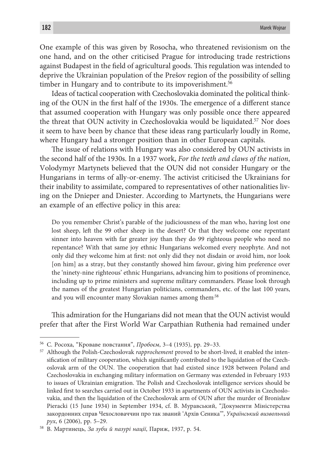One example of this was given by Rosocha, who threatened revisionism on the one hand, and on the other criticised Prague for introducing trade restrictions against Budapest in the field of agricultural goods. This regulation was intended to deprive the Ukrainian population of the Prešov region of the possibility of selling timber in Hungary and to contribute to its impoverishment.<sup>56</sup>

Ideas of tactical cooperation with Czechoslovakia dominated the political thinking of the OUN in the first half of the 1930s. The emergence of a different stance that assumed cooperation with Hungary was only possible once there appeared the threat that OUN activity in Czechoslovakia would be liquidated.57 Nor does it seem to have been by chance that these ideas rang particularly loudly in Rome, where Hungary had a stronger position than in other European capitals.

The issue of relations with Hungary was also considered by OUN activists in the second half of the 1930s. In a 1937 work, *For the teeth and claws of the nation*, Volodymyr Martynets believed that the OUN did not consider Hungary or the Hungarians in terms of ally-or-enemy. The activist criticised the Ukrainians for their inability to assimilate, compared to representatives of other nationalities living on the Dnieper and Dniester. According to Martynets, the Hungarians were an example of an effective policy in this area:

Do you remember Christ's parable of the judiciousness of the man who, having lost one lost sheep, left the 99 other sheep in the desert? Or that they welcome one repentant sinner into heaven with far greater joy than they do 99 righteous people who need no repentance? With that same joy ethnic Hungarians welcomed every neophyte. And not only did they welcome him at first: not only did they not disdain or avoid him, nor look [on him] as a stray, but they constantly showed him favour, giving him preference over the 'ninety-nine righteous' ethnic Hungarians, advancing him to positions of prominence, including up to prime ministers and supreme military commanders. Please look through the names of the greatest Hungarian politicians, commanders, etc. of the last 100 years, and you will encounter many Slovakian names among them<sup>58</sup>

This admiration for the Hungarians did not mean that the OUN activist would prefer that after the First World War Carpathian Ruthenia had remained under

<sup>&</sup>lt;sup>56</sup> С. Росоха, "Кроваве повстання", *Пробоєм*, 3–4 (1935), pp. 29–33.<br><sup>57</sup> Although the Polish-Czechoslovak *rapprochement* proved to be short-lived, it enabled the intensification of military cooperation, which significantly contributed to the liquidation of the Czechoslovak arm of the OUN. The cooperation that had existed since 1928 between Poland and Czechoslovakia in exchanging military information on Germany was extended in February 1933 to issues of Ukrainian emigration. The Polish and Czechoslovak intelligence services should be linked first to searches carried out in October 1933 in apartments of OUN activists in Czechoslovakia, and then the liquidation of the Czechoslovak arm of OUN after the murder of Bronisław Pieracki (15 June 1934) in September 1934, cf. В. Муравський, "Документи Міністерства закордонних справ Чехословаччин про так званий 'Архів Сеника'", *Український визвольний* 

*рух*, 6 (2006), pp. 5–29. 58 В. Мартинець, *За зуби й пазурі нації*, Париж, 1937, p. 54.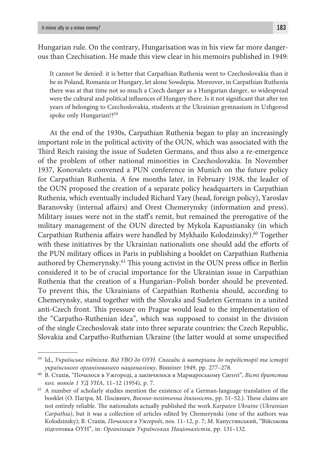Hungarian rule. On the contrary, Hungarisation was in his view far more dangerous than Czechisation. He made this view clear in his memoirs published in 1949:

It cannot be denied: it is better that Carpathian Ruthenia went to Czechoslovakia than it be in Poland, Romania or Hungary, let alone Sowdepia. Moreover, in Carpathian Ruthenia there was at that time not so much a Czech danger as a Hungarian danger, so widespread were the cultural and political influences of Hungary there. Is it not significant that after ten years of belonging to Czechoslovakia, students at the Ukrainian gymnasium in Uzhgorod spoke only Hungarian!?<sup>59</sup>

At the end of the 1930s, Carpathian Ruthenia began to play an increasingly important role in the political activity of the OUN, which was associated with the Third Reich raising the issue of Sudeten Germans, and thus also a re-emergence of the problem of other national minorities in Czechoslovakia. In November 1937, Konovalets convened a PUN conference in Munich on the future policy for Carpathian Ruthenia. A few months later, in February 1938, the leader of the OUN proposed the creation of a separate policy headquarters in Carpathian Ruthenia, which eventually included Richard Yary (head, foreign policy), Yaroslav Baranovsky (internal affairs) and Orest Chemerynsky (information and press). Military issues were not in the staff's remit, but remained the prerogative of the military management of the OUN directed by Mykola Kapustiansky (in which Carpathian Ruthenia affairs were handled by Mykhailo Kolodzinsky).<sup>60</sup> Together with these initiatives by the Ukrainian nationalists one should add the efforts of the PUN military offices in Paris in publishing a booklet on Carpathian Ruthenia authored by Chemerynsky.<sup>61</sup> This young activist in the OUN press office in Berlin considered it to be of crucial importance for the Ukrainian issue in Carpathian Ruthenia that the creation of a Hungarian–Polish border should be prevented. To prevent this, the Ukrainians of Carpathian Ruthenia should, according to Chemerynsky, stand together with the Slovaks and Sudeten Germans in a united anti-Czech front. This pressure on Prague would lead to the implementation of the "Carpatho-Ruthenian idea", which was supposed to consist in the division of the single Czechoslovak state into three separate countries: the Czech Republic, Slovakia and Carpatho-Ruthenian Ukraine (the latter would at some unspecified

<sup>59</sup> Id., *Українське підпілля. Від УВО до ОУН. Спогади й матеріали до передісторії та історії українського організованого націоналізму*, Вінніпег 1949, pp. 277–278.

<sup>60</sup> В. Стахів, "Почалося в Ужгороді, а закінчилося в Мармароському Сиготі", *Вісті братства* 

*кол. вояків 1 УД УНА*, 11–12 (1954), p. 7.<br><sup>61</sup> A number of scholarly studies mention the existence of a German-language translation of the booklet (О. Пагіря, М. Посівнич, *Воєнно-політична діяльність*, pp. 51–52.). These claims are not entirely reliable. The nationalists actually published the work *Karpaten Ukraine* (*Ukrainian Carpathia*), but it was a collection of articles edited by Chemerynski (one of the authors was Kolodzinsky); В. Стахів*, Почалося в Ужгороді*, nos. 11–12, p. 7; М. Капустянський, "Військова підготовка ОУН", in: *Організація Українських Націоналістів*, pp. 131–132.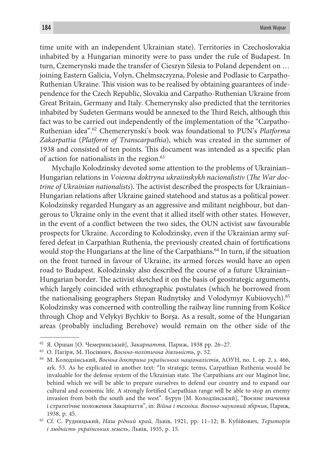time unite with an independent Ukrainian state). Territories in Czechoslovakia inhabited by a Hungarian minority were to pass under the rule of Budapest. In turn, Czemerynski made the transfer of Cieszyn Silesia to Poland dependent on … joining Eastern Galicia, Volyn, Chełmszczyzna, Polesie and Podlasie to Carpatho-Ruthenian Ukraine. This vision was to be realised by obtaining guarantees of independence for the Czech Republic, Slovakia and Carpatho-Ruthenian Ukraine from Great Britain, Germany and Italy. Chemerynsky also predicted that the territories inhabited by Sudeten Germans would be annexed to the Third Reich, although this fact was to be carried out independently of the implementation of the "Carpatho-Ruthenian idea".62 Chemererynski's book was foundational to PUN's *Platforma Zakarpattia* (*Platform of Transcarpathia*), which was created in the summer of 1938 and consisted of ten points. This document was intended as a specific plan of action for nationalists in the region.<sup>63</sup>

Mychajlo Kolodzinsky devoted some attention to the problems of Ukrainian– Hungarian relations in *Voienna doktryna ukraiinskykh nacionalistiv* (*The War doctrine of Ukrainian nationalists*). The activist described the prospects for Ukrainian– Hungarian relations after Ukraine gained statehood and status as a political power. Kolodzinsky regarded Hungary as an aggressive and militant neighbour, but dangerous to Ukraine only in the event that it allied itself with other states. However, in the event of a conflict between the two sides, the OUN activist saw favourable prospects for Ukraine. According to Kolodzinsky, even if the Ukrainian army suffered defeat in Carpathian Ruthenia, the previously created chain of fortifications would stop the Hungarians at the line of the Carpathians.64 In turn, if the situation on the front turned in favour of Ukraine, its armed forces would have an open road to Budapest. Kolodzinsky also described the course of a future Ukrainian– Hungarian border. The activist sketched it on the basis of geostrategic arguments, which largely coincided with ethnographic postulates (which he borrowed from the nationalising geographers Stepan Rudnytsky and Volodymyr Kubiiovych).65 Kolodzinsky was concerned with controlling the railway line running from Košice through Chop and Velykyi Bychkiv to Borșa. As a result, some of the Hungarian areas (probably including Berehove) would remain on the other side of the

<sup>62</sup> Я. Оршан [О. Чемеринський], *Закарпаття*, Париж, 1938 pp. 26–27. 63 О. Пагіря, М. Посівнич, *Воєнно-політична діяльність*, p. 52.

<sup>64</sup> М. Колодзінський, *Воєнна доктрина українських націоналістів*, АОУН, no. 1, op. 2, s. 466, ark. 53. As he explicated in another text: "In strategic terms, Carpathian Ruthenia would be invaluable for the defense system of the Ukrainian state. The Carpathians are our Maginot line, behind which we will be able to prepare ourselves to defend our country and to expand our cultural and economic life. A strongly fortified Carpathian range will be able to stop an enemy invasion from both the south and the west". Бурун [М. Колодзінський], "Воєнне значення і стратеґічне положення Закарпаття", in: *Війна і техніка. Воєнно-науковий збірник*, Париж, 1938, p. 45. 65 Cf. С. Рудницький, *Наш рідний край*, Львів, 1921, pp. 11–12; В. Кубійович, *Територія* 

*і людність українських земель*, Львів, 1935, p. 15.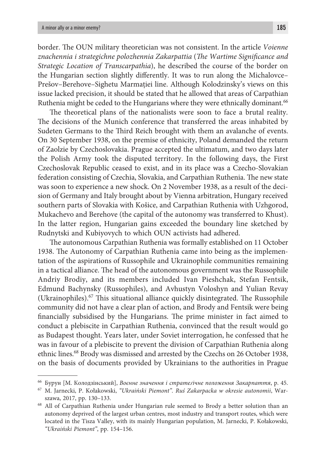border. The OUN military theoretician was not consistent. In the article *Voienne znachennia i strategichne polozhennia Zakarpattia* (*The Wartime Significance and Strategic Location of Transcarpathia*), he described the course of the border on the Hungarian section slightly differently. It was to run along the Michalovce– Prešov–Berehove–Sighetu Marmaţiei line. Although Kolodzinsky's views on this issue lacked precision, it should be stated that he allowed that areas of Carpathian Ruthenia might be ceded to the Hungarians where they were ethnically dominant.<sup>66</sup>

The theoretical plans of the nationalists were soon to face a brutal reality. The decisions of the Munich conference that transferred the areas inhabited by Sudeten Germans to the Third Reich brought with them an avalanche of events. On 30 September 1938, on the premise of ethnicity, Poland demanded the return of Zaolzie by Czechoslovakia. Prague accepted the ultimatum, and two days later the Polish Army took the disputed territory. In the following days, the First Czechoslovak Republic ceased to exist, and in its place was a Czecho-Slovakian federation consisting of Czechia, Slovakia, and Carpathian Ruthenia. The new state was soon to experience a new shock. On 2 November 1938, as a result of the decision of Germany and Italy brought about by Vienna arbitration, Hungary received southern parts of Slovakia with Košice, and Carpathian Ruthenia with Uzhgorod, Mukachevo and Berehove (the capital of the autonomy was transferred to Khust). In the latter region, Hungarian gains exceeded the boundary line sketched by Rudnytski and Kubiyovych to which OUN activists had adhered.

The autonomous Carpathian Ruthenia was formally established on 11 October 1938. The Autonomy of Carpathian Ruthenia came into being as the implementation of the aspirations of Russophile and Ukrainophile communities remaining in a tactical alliance. The head of the autonomous government was the Russophile Andriy Brodiy, and its members included Ivan Pieshchak, Stefan Fentsik, Edmund Bachynsky (Russophiles), and Avhustyn Voloshyn and Yulian Revay (Ukrainophiles). $67$  This situational alliance quickly disintegrated. The Russophile community did not have a clear plan of action, and Brody and Fentsik were being financially subsidised by the Hungarians. The prime minister in fact aimed to conduct a plebiscite in Carpathian Ruthenia, convinced that the result would go as Budapest thought. Years later, under Soviet interrogation, he confessed that he was in favour of a plebiscite to prevent the division of Carpathian Ruthenia along ethnic lines.68 Brody was dismissed and arrested by the Czechs on 26 October 1938, on the basis of documents provided by Ukrainians to the authorities in Prague

<sup>66</sup> Бурун [М. Колодзінський], *Воєнне значення і стратеґічне положення Закарпаття*, p. 45. 67 M. Jarnecki, P. Kołakowski, *"Ukraiński Piemont". Ruś Zakarpacka w okresie autonomii*, War-

szawa, 2017, pp. 130–133. 68 All of Carpathian Ruthenia under Hungarian rule seemed to Brody a better solution than an autonomy deprived of the largest urban centres, most industry and transport routes, which were located in the Tisza Valley, with its mainly Hungarian population, M. Jarnecki, P. Kołakowski, *"Ukraiński Piemont"*, pp. 154–156.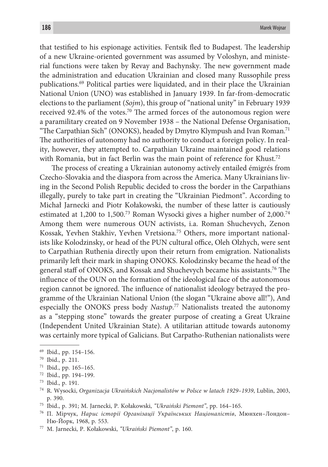that testified to his espionage activities. Fentsik fled to Budapest. The leadership of a new Ukraine-oriented government was assumed by Voloshyn, and ministerial functions were taken by Revay and Bachynsky. The new government made the administration and education Ukrainian and closed many Russophile press publications.69 Political parties were liquidated, and in their place the Ukrainian National Union (UNO) was established in January 1939. In far-from-democratic elections to the parliament (*Sojm*), this group of "national unity" in February 1939 received 92.4% of the votes.70 The armed forces of the autonomous region were a paramilitary created on 9 November 1938 – the National Defense Organisation, "The Carpathian Sich" (ONOKS), headed by Dmytro Klympush and Ivan Roman.<sup>71</sup> The authorities of autonomy had no authority to conduct a foreign policy. In reality, however, they attempted to. Carpathian Ukraine maintained good relations with Romania, but in fact Berlin was the main point of reference for Khust.<sup>72</sup>

The process of creating a Ukrainian autonomy actively entailed émigrés from Czecho-Slovakia and the diaspora from across the America. Many Ukrainians living in the Second Polish Republic decided to cross the border in the Carpathians illegally, purely to take part in creating the "Ukrainian Piedmont". According to Michał Jarnecki and Piotr Kołakowski, the number of these latter is cautiously estimated at 1,200 to 1,500.73 Roman Wysocki gives a higher number of 2,000.74 Among them were numerous OUN activists, i.a. Roman Shuchevych, Zenon Kossak, Yevhen Stakhiv, Yevhen Vretsiona.75 Others, more important nationalists like Kolodzinsky, or head of the PUN cultural office, Oleh Olzhych, were sent to Carpathian Ruthenia directly upon their return from emigration. Nationalists primarily left their mark in shaping ONOKS. Kolodzinsky became the head of the general staff of ONOKS, and Kossak and Shuchevych became his assistants.76 The influence of the OUN on the formation of the ideological face of the autonomous region cannot be ignored. The influence of nationalist ideology betrayed the programme of the Ukrainian National Union (the slogan "Ukraine above all!"), And especially the ONOKS press body *Nastup*. 77 Nationalists treated the autonomy as a "stepping stone" towards the greater purpose of creating a Great Ukraine (Independent United Ukrainian State). A utilitarian attitude towards autonomy was certainly more typical of Galicians. But Carpatho-Ruthenian nationalists were

70 Ibid., p. 211. 71 Ibid., pp. 165–165. 72 Ibid., pp. 194–199.

<sup>69</sup> Ibid., pp. 154–156.

<sup>73</sup> Ibid., p. 191. 74 R. Wysocki, *Organizacja Ukraińskich Nacjonalistów w Polsce w latach 1929–1939*, Lublin, 2003,

p. 390. 75 Ibid., p. 391; M. Jarnecki, P. Kołakowski, *"Ukraiński Piemont"*, pp. 164–165. 76 П. Мірчук, *Нарис історії Організації Українських Націоналістів*, Мюнхен–Лондон– Ню-Йорк, 1968, p. 553. 77 M. Jarnecki, P. Kołakowski, *"Ukraiński Piemont"*, p. 160.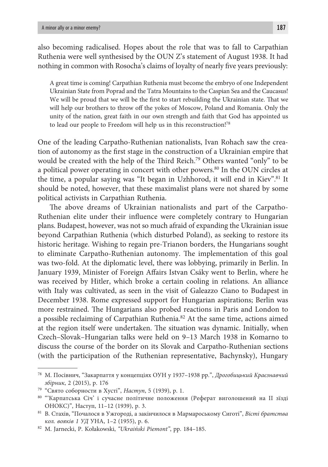also becoming radicalised. Hopes about the role that was to fall to Carpathian Ruthenia were well synthesised by the OUN Z's statement of August 1938. It had nothing in common with Rosocha's claims of loyalty of nearly five years previously:

A great time is coming! Carpathian Ruthenia must become the embryo of one Independent Ukrainian State from Poprad and the Tatra Mountains to the Caspian Sea and the Caucasus! We will be proud that we will be the first to start rebuilding the Ukrainian state. That we will help our brothers to throw off the yokes of Moscow, Poland and Romania. Only the unity of the nation, great faith in our own strength and faith that God has appointed us to lead our people to Freedom will help us in this reconstruction!78

One of the leading Carpatho-Ruthenian nationalists, Ivan Rohach saw the creation of autonomy as the first stage in the construction of a Ukrainian empire that would be created with the help of the Third Reich.79 Others wanted "only" to be a political power operating in concert with other powers.80 In the OUN circles at the time, a popular saying was "It began in Uzhhorod, it will end in Kiev".<sup>81</sup> It should be noted, however, that these maximalist plans were not shared by some political activists in Carpathian Ruthenia.

The above dreams of Ukrainian nationalists and part of the Carpatho-Ruthenian elite under their influence were completely contrary to Hungarian plans. Budapest, however, was not so much afraid of expanding the Ukrainian issue beyond Carpathian Ruthenia (which disturbed Poland), as seeking to restore its historic heritage. Wishing to regain pre-Trianon borders, the Hungarians sought to eliminate Carpatho-Ruthenian autonomy. The implementation of this goal was two-fold. At the diplomatic level, there was lobbying, primarily in Berlin. In January 1939, Minister of Foreign Affairs Istvan Csáky went to Berlin, where he was received by Hitler, which broke a certain cooling in relations. An alliance with Italy was cultivated, as seen in the visit of Galeazzo Ciano to Budapest in December 1938. Rome expressed support for Hungarian aspirations; Berlin was more restrained. The Hungarians also probed reactions in Paris and London to a possible reclaiming of Carpathian Ruthenia.<sup>82</sup> At the same time, actions aimed at the region itself were undertaken. The situation was dynamic. Initially, when Czech–Slovak–Hungarian talks were held on 9–13 March 1938 in Komarno to discuss the course of the border on its Slovak and Carpatho-Ruthenian sections (with the participation of the Ruthenian representative, Bachynsky), Hungary

<sup>78</sup> М. Посівнич, "Закарпаття у концепціях ОУН у 1937–1938 рр.", *Дрогобицький Краєзнавчий* 

*збірник*, 2 (2015), p. 176

<sup>&</sup>lt;sup>80 "</sup>Карпатська Січ' і сучасне політичне положення (Реферат виголошений на II зїзді ОНОКС)", Наступ, 11–12 (1939), p. 3. 81 В. Стахів, "Почалося в Ужгороді, а закінчилося в Мармароському Сиготі", *Вісті братства* 

*кол. вояків 1 УД* УНА, 1–2 (1955), p. 6. 82 M. Jarnecki, P. Kołakowski, *"Ukraiński Piemont"*, pp. 184–185.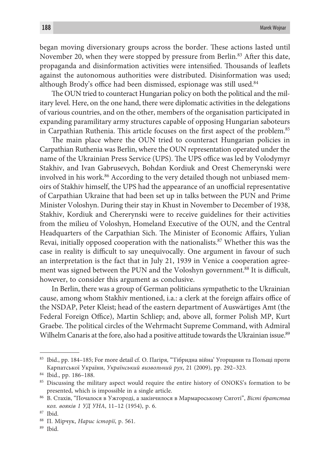began moving diversionary groups across the border. These actions lasted until November 20, when they were stopped by pressure from Berlin.<sup>83</sup> After this date, propaganda and disinformation activities were intensified. Thousands of leaflets against the autonomous authorities were distributed. Disinformation was used; although Brody's office had been dismissed, espionage was still used.<sup>84</sup>

The OUN tried to counteract Hungarian policy on both the political and the military level. Here, on the one hand, there were diplomatic activities in the delegations of various countries, and on the other, members of the organisation participated in expanding paramilitary army structures capable of opposing Hungarian saboteurs in Carpathian Ruthenia. This article focuses on the first aspect of the problem.<sup>85</sup>

The main place where the OUN tried to counteract Hungarian policies in Carpathian Ruthenia was Berlin, where the OUN representation operated under the name of the Ukrainian Press Service (UPS). The UPS office was led by Volodymyr Stakhiv, and Ivan Gabrusevych, Bohdan Kordiuk and Orest Chemerynski were involved in his work.<sup>86</sup> According to the very detailed though not unbiased memoirs of Stakhiv himself, the UPS had the appearance of an unofficial representative of Carpathian Ukraine that had been set up in talks between the PUN and Prime Minister Voloshyn. During their stay in Khust in November to December of 1938, Stakhiv, Kordiuk and Chererynski were to receive guidelines for their activities from the milieu of Voloshyn, Homeland Executive of the OUN, and the Central Headquarters of the Carpathian Sich. The Minister of Economic Affairs, Yulian Revai, initially opposed cooperation with the nationalists.87 Whether this was the case in reality is difficult to say unequivocally. One argument in favour of such an interpretation is the fact that in July 21, 1939 in Venice a cooperation agreement was signed between the PUN and the Voloshyn government.<sup>88</sup> It is difficult, however, to consider this argument as conclusive.

In Berlin, there was a group of German politicians sympathetic to the Ukrainian cause, among whom Stakhiv mentioned, i.a.: a clerk at the foreign affairs office of the NSDAP, Peter Kleist; head of the eastern department of Auswärtiges Amt (the Federal Foreign Office), Martin Schliep; and, above all, former Polish MP, Kurt Graebe. The political circles of the Wehrmacht Supreme Command, with Admiral Wilhelm Canaris at the fore, also had a positive attitude towards the Ukrainian issue.<sup>89</sup>

<sup>83</sup> Ibid., pp. 184–185; For more detail cf. О. Пагіря, "'Гібридна війна' Угорщини та Польщі проти Карпатської України, *Український визвольний рух*, 21 (2009), pp. 292–323.

<sup>&</sup>lt;sup>84</sup> Ibid., pp. 186–188.<br><sup>85</sup> Discussing the military aspect would require the entire history of ONOKS's formation to be presented, which is impossible in a single article. 86 В. Стахів, "Почалося в Ужгороді, а закінчилося в Мармароському Сиготі", *Вісті братства* 

*кол. вояків 1 УД УНА*, 11–12 (1954), p. 6. 87 Ibid. 88 П. Мірчук, *Нарис історії*, p. 561. 89 Ibid.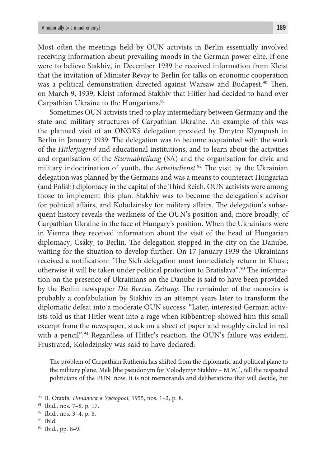Most often the meetings held by OUN activists in Berlin essentially involved receiving information about prevailing moods in the German power elite. If one were to believe Stakhiv, in December 1939 he received information from Kleist that the invitation of Minister Revay to Berlin for talks on economic cooperation was a political demonstration directed against Warsaw and Budapest.<sup>90</sup> Then, on March 9, 1939, Kleist informed Stakhiv that Hitler had decided to hand over Carpathian Ukraine to the Hungarians.<sup>91</sup>

Sometimes OUN activists tried to play intermediary between Germany and the state and military structures of Carpathian Ukraine. An example of this was the planned visit of an ONOKS delegation presided by Dmytro Klympush in Berlin in January 1939. The delegation was to become acquainted with the work of the *Hitlerjugend* and educational institutions, and to learn about the activities and organisation of the *Sturmabteilung* (SA) and the organisation for civic and military indoctrination of youth, the *Arbeitsdienst*. 92 The visit by the Ukrainian delegation was planned by the Germans and was a means to counteract Hungarian (and Polish) diplomacy in the capital of the Third Reich. OUN activists were among those to implement this plan. Stakhiv was to become the delegation's advisor for political affairs, and Kolodzinsky for military affairs. The delegation's subsequent history reveals the weakness of the OUN's position and, more broadly, of Carpathian Ukraine in the face of Hungary's position. When the Ukrainians were in Vienna they received information about the visit of the head of Hungarian diplomacy, Csáky, to Berlin. The delegation stopped in the city on the Danube, waiting for the situation to develop further. On 17 January 1939 the Ukrainians received a notification: "The Sich delegation must immediately return to Khust; otherwise it will be taken under political protection to Bratislava".93 The information on the presence of Ukrainians on the Danube is said to have been provided by the Berlin newspaper *Die Berzen Zeitung*. The remainder of the memoirs is probably a confabulation by Stakhiv in an attempt years later to transform the diplomatic defeat into a moderate OUN success: "Later, interested German activists told us that Hitler went into a rage when Ribbentrop showed him this small excerpt from the newspaper, stuck on a sheet of paper and roughly circled in red with a pencil".<sup>94</sup> Regardless of Hitler's reaction, the OUN's failure was evident. Frustrated, Kolodzinsky was said to have declared:

The problem of Carpathian Ruthenia has shifted from the diplomatic and political plane to the military plane. Mek [the pseudonym for Volodymyr Stakhiv – M.W.], tell the respected politicians of the PUN: now, it is not memoranda and deliberations that will decide, but

<sup>90</sup> В. Стахів, *Почалося в Ужгороді*, 1955, nos. 1–2, p. 8.

<sup>91</sup> Ibid., nos. 7–8, p. 17. 92 Ibid., nos. 3–4, p. 8. 93 Ibid. 94 Ibid., pp. 8–9.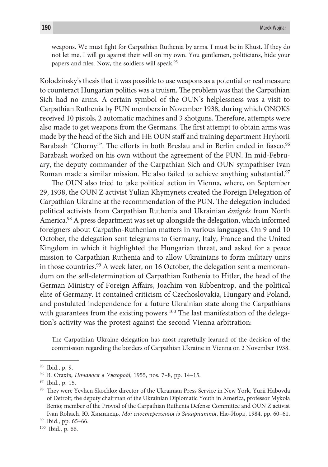weapons. We must fight for Carpathian Ruthenia by arms. I must be in Khust. If they do not let me, I will go against their will on my own. You gentlemen, politicians, hide your papers and files. Now, the soldiers will speak.95

Kolodzinsky's thesis that it was possible to use weapons as a potential or real measure to counteract Hungarian politics was a truism. The problem was that the Carpathian Sich had no arms. A certain symbol of the OUN's helplessness was a visit to Carpathian Ruthenia by PUN members in November 1938, during which ONOKS received 10 pistols, 2 automatic machines and 3 shotguns. Therefore, attempts were also made to get weapons from the Germans. The first attempt to obtain arms was made by the head of the Sich and HE OUN staff and training department Hryhorii Barabash "Chornyi". The efforts in both Breslau and in Berlin ended in fiasco.<sup>96</sup> Barabash worked on his own without the agreement of the PUN. In mid-February, the deputy commander of the Carpathian Sich and OUN sympathiser Ivan Roman made a similar mission. He also failed to achieve anything substantial.<sup>97</sup>

The OUN also tried to take political action in Vienna, where, on September 29, 1938, the OUN Z activist Yulian Khymynets created the Foreign Delegation of Carpathian Ukraine at the recommendation of the PUN. The delegation included political activists from Carpathian Ruthenia and Ukrainian *émigrés* from North America.98 A press department was set up alongside the delegation, which informed foreigners about Carpatho-Ruthenian matters in various languages. On 9 and 10 October, the delegation sent telegrams to Germany, Italy, France and the United Kingdom in which it highlighted the Hungarian threat, and asked for a peace mission to Carpathian Ruthenia and to allow Ukrainians to form military units in those countries.<sup>99</sup> A week later, on 16 October, the delegation sent a memorandum on the self-determination of Carpathian Ruthenia to Hitler, the head of the German Ministry of Foreign Affairs, Joachim von Ribbentrop, and the political elite of Germany. It contained criticism of Czechoslovakia, Hungary and Poland, and postulated independence for a future Ukrainian state along the Carpathians with guarantees from the existing powers.<sup>100</sup> The last manifestation of the delegation's activity was the protest against the second Vienna arbitration:

The Carpathian Ukraine delegation has most regretfully learned of the decision of the commission regarding the borders of Carpathian Ukraine in Vienna on 2 November 1938.

<sup>&</sup>lt;sup>95</sup> Ibid., р. 9.<br><sup>96</sup> В. Стахів, *Почалося в Ужгороді*, 1955, nos. 7–8, pp. 14–15.<br><sup>97</sup> Ibid., p. 15.<br><sup>98</sup> They were Yevhen Skochko; director of the Ukrainian Press Service in New York, Yurii Habovda of Detroit; the deputy chairman of the Ukrainian Diplomatic Youth in America, professor Mykola Benio; member of the Provod of the Carpathian Ruthenia Defense Committee and OUN Z activist Ivan Rohach, Ю. Химинець, *Мої спостереження із Закарпаття*, Ню-Йорк, 1984, pp. 60–61. 99 Ibid., pp. 65–66. 100 Ibid., p. 66.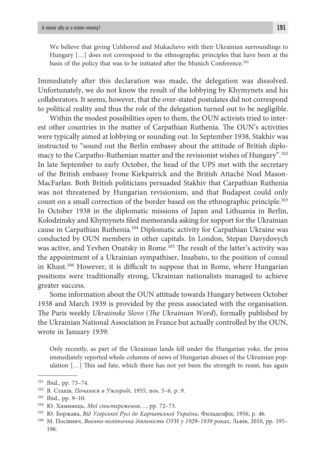We believe that giving Uzhhorod and Mukachevo with their Ukrainian surroundings to Hungary […] does not correspond to the ethnographic principles that have been at the basis of the policy that was to be initiated after the Munich Conference.<sup>101</sup>

Immediately after this declaration was made, the delegation was dissolved. Unfortunately, we do not know the result of the lobbying by Khymynets and his collaborators. It seems, however, that the over-stated postulates did not correspond to political reality and thus the role of the delegation turned out to be negligible.

Within the modest possibilities open to them, the OUN activists tried to interest other countries in the matter of Carpathian Ruthenia. The OUN's activities were typically aimed at lobbying or sounding out. In September 1938, Stakhiv was instructed to "sound out the Berlin embassy about the attitude of British diplomacy to the Carpatho-Ruthenian matter and the revisionist wishes of Hungary".102 In late September to early October, the head of the UPS met with the secretary of the British embassy Ivone Kirkpatrick and the British Attaché Noel Mason-MacFarlan. Both British politicians persuaded Stakhiv that Carpathian Ruthenia was not threatened by Hungarian revisionism, and that Budapest could only count on a small correction of the border based on the ethnographic principle.<sup>103</sup> In October 1938 in the diplomatic missions of Japan and Lithuania in Berlin, Kolodzinsky and Khymynets filed memoranda asking for support for the Ukrainian cause in Carpathian Ruthenia.104 Diplomatic activity for Carpathian Ukraine was conducted by OUN members in other capitals. In London, Stepan Davydovych was active, and Yevhen Onatsky in Rome.<sup>105</sup> The result of the latter's activity was the appointment of a Ukrainian sympathiser, Insabato, to the position of consul in Khust.<sup>106</sup> However, it is difficult to suppose that in Rome, where Hungarian positions were traditionally strong, Ukrainian nationalists managed to achieve greater success.

Some information about the OUN attitude towards Hungary between October 1938 and March 1939 is provided by the press associated with the organisation. The Paris weekly *Ukraiinske Slovo* (*The Ukrainian Word*), formally published by the Ukrainian National Association in France but actually controlled by the OUN, wrote in January 1939:

Only recently, as part of the Ukrainian lands fell under the Hungarian yoke, the press immediately reported whole columns of news of Hungarian abuses of the Ukrainian population […] This sad fate, which there has not yet been the strength to resist, has again

<sup>&</sup>lt;sup>101</sup> Ibid., pp. 73–74.<br><sup>102</sup> B. Craxis, *Почалося в Ужгороді*, 1955, nos. 5–6, p. 9.

<sup>&</sup>lt;sup>103</sup> Ibid., pp. 9–10.<br><sup>104</sup> Ю. Химинець, *Мої спостереження*..., pp. 72–73.<br><sup>105</sup> Ю. Боржава, *Від Угорської Русі до Карпатської України*, Филаделфія, 1956, p. 46.

<sup>106</sup> М. Посівнич, *Воєнно-політична діяльність ОУН у 1929–1939 роках*, Львів, 2010, pp. 195– 196.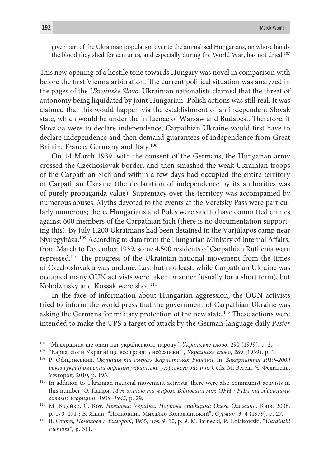given part of the Ukrainian population over to the animalised Hungarians, on whose hands the blood they shed for centuries, and especially during the World War, has not dried.107

This new opening of a hostile tone towards Hungary was novel in comparison with before the first Vienna arbitration. The current political situation was analyzed in the pages of the *Ukrainske Slovo*. Ukrainian nationalists claimed that the threat of autonomy being liquidated by joint Hungarian–Polish actions was still real. It was claimed that this would happen via the establishment of an independent Slovak state, which would be under the influence of Warsaw and Budapest. Therefore, if Slovakia were to declare independence, Carpathian Ukraine would first have to declare independence and then demand guarantees of independence from Great Britain, France, Germany and Italy.<sup>108</sup>

On 14 March 1939, with the consent of the Germans, the Hungarian army crossed the Czechoslovak border, and then smashed the weak Ukrainian troops of the Carpathian Sich and within a few days had occupied the entire territory of Carpathian Ukraine (the declaration of independence by its authorities was of purely propaganda value). Supremacy over the territory was accompanied by numerous abuses. Myths devoted to the events at the Veretsky Pass were particularly numerous; there, Hungarians and Poles were said to have committed crimes against 600 members of the Carpathian Sich (there is no documentation supporting this). By July 1,200 Ukrainians had been detained in the Varjúlapos camp near Nyíregyháza.109 According to data from the Hungarian Ministry of Internal Affairs, from March to December 1939, some 4,500 residents of Carpathian Ruthenia were repressed.110 The progress of the Ukrainian national movement from the times of Czechoslovakia was undone. Last but not least, while Carpathian Ukraine was occupied many OUN activists were taken prisoner (usually for a short term), but Kolodzinsky and Kossak were shot.<sup>111</sup>

In the face of information about Hungarian aggression, the OUN activists tried to inform the world press that the government of Carpathian Ukraine was asking the Germans for military protection of the new state.<sup>112</sup> These actions were intended to make the UPS a target of attack by the German-language daily *Pester* 

<sup>107 &</sup>quot;Мадярщина ще один кат українського народу", *Українське слово*, 290 (1939), p. 2.

<sup>&</sup>lt;sup>108</sup> "Карпатській Украині ще все грозять небезпеки!", *Украинске слово*, 289 (1939), p. 1.<br><sup>109</sup> Р. Офіцинський, *Окупація та анексія Карпатської України*, in: *Закарпаття 1919–2009 років (україномовний варіант українсько-угорського видання)*, eds. М. Вегеш, Ч. Фединець, Ужгород, 2010, p. 195.<br><sup>110</sup> In addition to Ukrainian national movement activists, there were also communist activists in

this number, О. Пагіря, *Між війною та миром. Відносини між ОУН і УПА та збройними* 

*силами Угорщини 1939–1945*, p. 29. 111 М. Відейко, С. Кот, *Невідома Україна. Наукова спадщина Олега Ольжича,* Київ, 2008, p. 170–171 ; В. Яшан, "Полковник Михайло Колодзінський", *Сурмач*, 3–4 (1979), p. 27.

<sup>112</sup> В. Стахів, *Почалося в Ужгороді*, 1955, nos. 9–10, p. 9; M. Jarnecki, P. Kołakowski, "*Ukraiński Piemont"*, p. 311.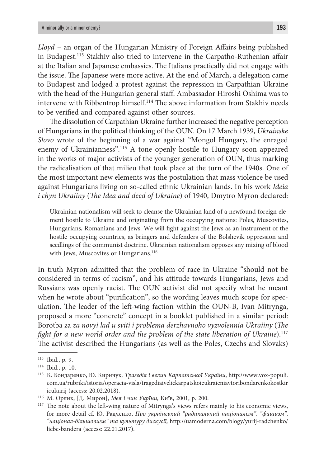*Lloyd* – an organ of the Hungarian Ministry of Foreign Affairs being published in Budapest.113 Stakhiv also tried to intervene in the Carpatho-Ruthenian affair at the Italian and Japanese embassies. The Italians practically did not engage with the issue. The Japanese were more active. At the end of March, a delegation came to Budapest and lodged a protest against the repression in Carpathian Ukraine with the head of the Hungarian general staff. Ambassador Hiroshi Ōshima was to intervene with Ribbentrop himself.114 The above information from Stakhiv needs to be verified and compared against other sources.

The dissolution of Carpathian Ukraine further increased the negative perception of Hungarians in the political thinking of the OUN. On 17 March 1939, *Ukrainske Slovo* wrote of the beginning of a war against "Mongol Hungary, the enraged enemy of Ukrainianness".115 A tone openly hostile to Hungary soon appeared in the works of major activists of the younger generation of OUN, thus marking the radicalisation of that milieu that took place at the turn of the 1940s. One of the most important new elements was the postulation that mass violence be used against Hungarians living on so-called ethnic Ukrainian lands. In his work *Ideia i chyn Ukraiiny* (*The Idea and deed of Ukraine*) of 1940, Dmytro Myron declared:

Ukrainian nationalism will seek to cleanse the Ukrainian land of a newfound foreign element hostile to Ukraine and originating from the occupying nations: Poles, Muscovites, Hungarians, Romanians and Jews. We will fight against the Jews as an instrument of the hostile occupying countries, as bringers and defenders of the Bolshevik oppression and seedlings of the communist doctrine. Ukrainian nationalism opposes any mixing of blood with Jews, Muscovites or Hungarians.<sup>116</sup>

In truth Myron admitted that the problem of race in Ukraine "should not be considered in terms of racism", and his attitude towards Hungarians, Jews and Russians was openly racist. The OUN activist did not specify what he meant when he wrote about "purification", so the wording leaves much scope for speculation. The leader of the left-wing faction within the OUN-B, Ivan Mitrynga, proposed a more "concrete" concept in a booklet published in a similar period: Borotba za *za novyi lad u sviti i problema derzhavnoho vyzvolennia Ukraiiny* (*The fight for a new world order and the problem of the state liberation of Ukraine*).<sup>117</sup> The activist described the Hungarians (as well as the Poles, Czechs and Slovaks)

<sup>&</sup>lt;sup>113</sup> Ibid., p. 9.<br><sup>114</sup> Ibid., p. 10.<br><sup>115</sup> К. Бондаренко, Ю. Киричук, *Трагедія і велич Карпатської України*, http://www.vox-populi. com.ua/rubriki/istoria/operacia-visla/tragediaivelickarpatskoieukraieniavtoribondarenkokostkir icukurij (access: 20.02.2018).<br><sup>116</sup> М. Орлик, [Д. Мирон], *Ідея і чин Укрїни*, Київ, 2001, р. 200.

<sup>&</sup>lt;sup>117</sup> The note about the left-wing nature of Mitrynga's views refers mainly to his economic views, for more detail cf. Ю. Радченко, *Про український "радикальний націоналізм", "фашизм", "націонал-більшовизм" та культуру дискусії,* http://uamoderna.com/blogy/yurij-radchenko/ liebe-bandera (access: 22.01.2017).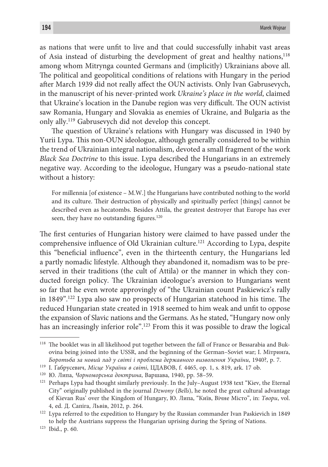as nations that were unfit to live and that could successfully inhabit vast areas of Asia instead of disturbing the development of great and healthy nations,118 among whom Mitrynga counted Germans and (implicitly) Ukrainians above all. The political and geopolitical conditions of relations with Hungary in the period after March 1939 did not really affect the OUN activists. Only Ivan Gabrusevych, in the manuscript of his never-printed work *Ukraine's place in the world*, claimed that Ukraine's location in the Danube region was very difficult. The OUN activist saw Romania, Hungary and Slovakia as enemies of Ukraine, and Bulgaria as the only ally.119 Gabrusevych did not develop this concept.

The question of Ukraine's relations with Hungary was discussed in 1940 by Yurii Lypa. This non-OUN ideologue, although generally considered to be within the trend of Ukrainian integral nationalism, devoted a small fragment of the work *Black Sea Doctrine* to this issue. Lypa described the Hungarians in an extremely negative way. According to the ideologue, Hungary was a pseudo-national state without a history:

For millennia [of existence – M.W.] the Hungarians have contributed nothing to the world and its culture. Their destruction of physically and spiritually perfect [things] cannot be described even as hecatombs. Besides Attila, the greatest destroyer that Europe has ever seen, they have no outstanding figures.<sup>120</sup>

The first centuries of Hungarian history were claimed to have passed under the comprehensive influence of Old Ukrainian culture.<sup>121</sup> According to Lypa, despite this "beneficial influence", even in the thirteenth century, the Hungarians led a partly nomadic lifestyle. Although they abandoned it, nomadism was to be preserved in their traditions (the cult of Attila) or the manner in which they conducted foreign policy. The Ukrainian ideologue's aversion to Hungarians went so far that he even wrote approvingly of "the Ukrainian count Paskiewicz's rally in 1849".122 Lypa also saw no prospects of Hungarian statehood in his time. The reduced Hungarian state created in 1918 seemed to him weak and unfit to oppose the expansion of Slavic nations and the Germans. As he stated, "Hungary now only has an increasingly inferior role".123 From this it was possible to draw the logical

<sup>&</sup>lt;sup>118</sup> The booklet was in all likelihood put together between the fall of France or Bessarabia and Bukovina being joined into the USSR, and the beginning of the German–Soviet war; І. Мітринґа, *Боротьба за новий лад у світі і проблема державного визволення України*, 1940?, p. 7.

<sup>119</sup> І. Ґабрусевич, *Місце України в світі*, ЦДАВОВ, f. 4465, op. 1, s. 819, ark. 17 ob.

<sup>&</sup>lt;sup>120</sup> Ю. Липа, *Чорноморська доктрина*, Варшава, 1940, pp. 58–59.<br><sup>121</sup> Perhaps Lypa had thought similarly previously. In the July–August 1938 text "Kiev, the Eternal City" originally published in the journal *Dzwony* (*Bells*), he noted the great cultural advantage of Kievan Rus' over the Kingdom of Hungary, Ю. Липа, "Київ, Вічне Місто", in: *Твори*, vol. 4, ed. Д. Сапіга, Львів, 2012, p. 264.

<sup>&</sup>lt;sup>122</sup> Lypa referred to the expedition to Hungary by the Russian commander Ivan Paskievich in 1849 to help the Austrians suppress the Hungarian uprising during the Spring of Nations. 123 Ibid., p. 60.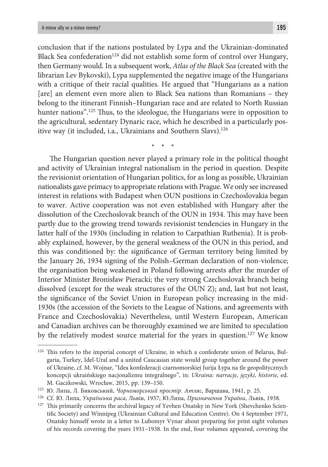conclusion that if the nations postulated by Lypa and the Ukrainian-dominated Black Sea confederation<sup>124</sup> did not establish some form of control over Hungary, then Germany would. In a subsequent work, *Atlas of the Black Sea* (created with the librarian Lev Bykovski), Lypa supplemented the negative image of the Hungarians with a critique of their racial qualities. He argued that "Hungarians as a nation [are] an element even more alien to Black Sea nations than Romanians – they belong to the itinerant Finnish–Hungarian race and are related to North Russian hunter nations".<sup>125</sup> Thus, to the ideologue, the Hungarians were in opposition to the agricultural, sedentary Dynaric race, which he described in a particularly positive way (it included, i.a., Ukrainians and Southern Slavs).<sup>126</sup>

\* \* \*

The Hungarian question never played a primary role in the political thought and activity of Ukrainian integral nationalism in the period in question. Despite the revisionist orientation of Hungarian politics, for as long as possible, Ukrainian nationalists gave primacy to appropriate relations with Prague. We only see increased interest in relations with Budapest when OUN positions in Czechoslovakia began to waver. Active cooperation was not even established with Hungary after the dissolution of the Czechoslovak branch of the OUN in 1934. This may have been partly due to the growing trend towards revisionist tendencies in Hungary in the latter half of the 1930s (including in relation to Carpathian Ruthenia). It is probably explained, however, by the general weakness of the OUN in this period, and this was conditioned by: the significance of German territory being limited by the January 26, 1934 signing of the Polish–German declaration of non-violence; the organisation being weakened in Poland following arrests after the murder of Interior Minister Bronisław Pieracki; the very strong Czechoslovak branch being dissolved (except for the weak structures of the OUN Z); and, last but not least, the significance of the Soviet Union in European policy increasing in the mid-1930s (the accession of the Soviets to the League of Nations, and agreements with France and Czechoslovakia) Nevertheless, until Western European, American and Canadian archives can be thoroughly examined we are limited to speculation by the relatively modest source material for the years in question.<sup>127</sup> We know

<sup>&</sup>lt;sup>124</sup> This refers to the imperial concept of Ukraine, in which a confederate union of Belarus, Bulgaria, Turkey, Idel-Ural and a united Caucasian state would group together around the power of Ukraine, cf. M. Wojnar, "Idea konfederacji czarnomorskiej Jurija Łypa na tle geopolitycznych koncepcji ukraińskiego nacjonalizmu integralnego", in: *Ukraina: narracje, języki, historie*, ed.

М. Gaczkowski, Wrocław, 2015, pp. 139–150.<br><sup>125</sup> Ю. Липа, Л. Биковський, Чорноморський простір. Атляс, Варшава, 1941, p. 25.<br><sup>126</sup> Сf. Ю. Липа, *Українська раса*, Львів, 1937; Ю.Липа, *Призначення України*, Львів, 1938.<br><sup></sup> tific Society) and Winnipeg (Ukrainian Cultural and Education Centre). On 4 September 1971, Onatsky himself wrote in a letter to Lubomyr Vynar about preparing for print eight volumes of his records covering the years 1931–1938. In the end, four volumes appeared, covering the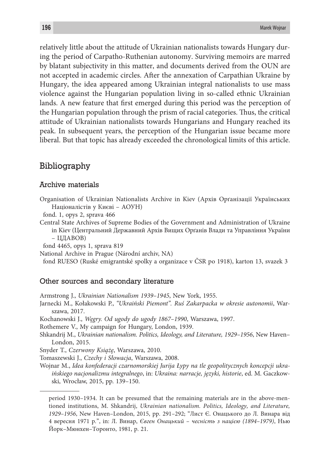relatively little about the attitude of Ukrainian nationalists towards Hungary during the period of Carpatho-Ruthenian autonomy. Surviving memoirs are marred by blatant subjectivity in this matter, and documents derived from the OUN are not accepted in academic circles. After the annexation of Carpathian Ukraine by Hungary, the idea appeared among Ukrainian integral nationalists to use mass violence against the Hungarian population living in so-called ethnic Ukrainian lands. A new feature that first emerged during this period was the perception of the Hungarian population through the prism of racial categories. Thus, the critical attitude of Ukrainian nationalists towards Hungarians and Hungary reached its peak. In subsequent years, the perception of the Hungarian issue became more liberal. But that topic has already exceeded the chronological limits of this article.

## Bibliography

## Archive materials

Organisation of Ukrainian Nationalists Archive in Kiev (Архів Орґанізації Українських Націоналістів у Києві – АОУН)

fond. 1, opys 2, sprava 466

Central State Archives of Supreme Bodies of the Government and Administration of Ukraine in Kiev (Центральний Державний Архів Вищих Орґанів Влади та Управління України

– ЦДАВОВ)

fond 4465, opys 1, sprava 819

National Archive in Prague (Národní archiv, NA)

fond RUESO (Ruské emigrantské spolky a organizace v ČSR po 1918), karton 13, svazek 3

## Other sources and secondary literature

Armstrong J., *Ukrainian Nationalism 1939–1945*, New York, 1955.

- Jarnecki M., Kołakowski P., *"Ukraiński Piemont". Ruś Zakarpacka w okresie autonomii*, Warszawa, 2017.
- Kochanowski J., *Węgry. Od ugody do ugody 1867–1990*, Warszawa, 1997.

Rothemere V., My campaign for Hungary, London, 1939.

Shkandrij M., *Ukrainian nationalism. Politics, Ideology, and Literature, 1929–1956*, New Haven– London, 2015.

Snyder T., *Czerwony Książę*, Warszawa, 2010.

Tomaszewski J., *Czechy i Słowacja*, Warszawa, 2008.

Wojnar M., *Idea konfederacji czarnomorskiej Jurija Łypy na tle geopolitycznych koncepcji ukraińskiego nacjonalizmu integralnego*, in: *Ukraina: narracje, języki, historie*, ed. M. Gaczkowski, Wrocław, 2015, pp. 139–150.

period 1930–1934. It can be presumed that the remaining materials are in the above-mentioned institutions, M. Shkandrij, *Ukrainian nationalism. Politics, Ideology, and Literature, 1929–1956*, New Haven–London, 2015, pp. 291–292; "Лист Є. Онацького до Л. Винара від 4 вересня 1971 р*.*", in: Л. Винар, *Євген Онацький – чесність з нацією (1894–1979)*, Нью Йорк–Мюнхен–Торонто, 1981, p. 21.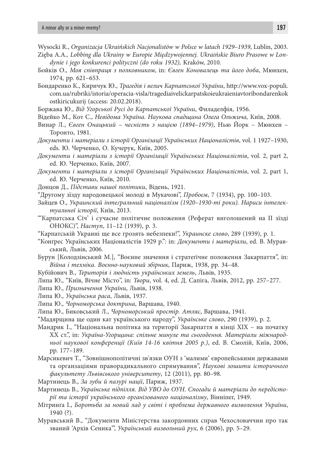- Wysocki R., *Organizacja Ukraińskich Nacjonalistów w Polsce w latach 1929–1939*, Lublin, 2003.
- Zięba A.A.*, Lobbing dla Ukrainy w Europie Międzywojennej. Ukraińskie Biuro Prasowe w Londynie i jego konkurenci polityczni (do roku 1932),* Kraków, 2010.
- Бойків О., *Моя співпраця з полковником*, in: *Євген Коновалець та його доба*, Мюнхен, 1974, pp. 621–653.
- Бондаренко К., Киричук Ю., *Трагедія і велич Карпатської України*, http://www.vox-populi. com.ua/rubriki/istoria/operacia-visla/tragediaivelickarpatskoieukraieniavtoribondarenkok ostkiricukurij (access: 20.02.2018).
- Боржава Ю., *Від Угорської Русі до Карпатської України*, Филаделфія, 1956.
- Відейко М., Кот С., *Невідома Україна. Наукова спадщина Олега Ольжича,* Київ, 2008.
- Винар Л., *Євген Онацький чесність з нацією (1894–1979)*, Нью Йорк Мюнхен Торонто, 1981.
- *Документи і матеріали з історії Організації Українських Націоналістів*, vol. 1 1927–1930, eds. Ю. Черченко, О. Кучерук, Київ, 2005.
- *Документи і матеріали з історії Організації Українських Націоналістів*, vol. 2, part 2, ed. Ю. Черченко, Київ, 2007.
- *Документи і матеріали з історії Організації Українських Націоналістів*, vol. 2, part 1, ed. Ю. Черченко, Київ, 2010.
- Донцов Д., *Підстави нашої політики*, Відень, 1921.
- "Другому зїзду народовецької молоді в Мукачові", *Пробоєм*, 7 (1934), pp. 100–103.
- Зайцев О., *Украинский інтеґральний націоналізм (1920–1930-ті роки). Нариси інтелектуальної історії*, Київ, 2013.
- "'Карпатська Січ' і сучасне політичне положення (Реферат виголошений на II зїзді ОНОКС)", *Наступ*, 11–12 (1939), p. 3.
- "Карпатській Украині ще все грозять небезпеки!", *Украинске слово*, 289 (1939), p. 1.
- "Конґрес Українських Націоналістів 1929 р.": in: *Документи і матеріали*, ed. В. Муравський, Львів, 2006.
- Бурун [Колодзінський М.], "Воєнне значення і стратеґічне положення Закарпаття", in: *Війна і техніка. Воєнно-науковий збірник*, Париж, 1938, pp. 34–48.
- Кубійович В., *Територія і людність українських земель*, Львів, 1935.
- Липа Ю., "Київ, Вічне Місто", in: *Твори*, vol. 4, ed. Д. Сапіга, Львів, 2012, pp. 257–277.
- Липа Ю., *Призначення України*, Львів, 1938.
- Липа Ю., *Українська раса*, Львів, 1937.
- Липа Ю., *Чорноморська доктрина*, Варшава, 1940.
- Липа Ю., Биковський Л., *Чорноморський простір. Атляс*, Варшава, 1941.
- "Мадярщина ще один кат українського народу", *Українське слово*, 290 (1939), p. 2.
- Мандрик І., "Національна політика на території Закарпаття в кінці XIX на початку XX ст.", in: *Україна-Угорщина: спільне минуле та сьогодення. Матеріали міжнародньої наукової конференції (Київ 14-16 квітня 2005 р.)*, ed. В. Смолій, Київ, 2006, pp. 177–189.
- Марсикевич Т., "Зовнішнополітичні зв'язки ОУН з 'малими' європейськими державами та органзаціями праворадикального спрямування", *Наукові зошити історичного факультету Львівського університету*, 12 (2011), pp. 80–98.
- Мартинець В., *За зуби й пазурі нації*, Париж, 1937.
- Мартинець В., *Українське підпілля. Від УВО до ОУН. Спогади й матеріали до передісторії та історії українського організованого націоналізму*, Вінніпег, 1949.
- Мітринґа І., *Боротьба за новий лад у світі і проблема державного визволення України*, 1940 (?).
- Муравський В., "Документи Міністерства закордонних справ Чехословаччин про так званий 'Архів Сеника'", *Український визвольний рух*, 6 (2006), pp. 5–29.